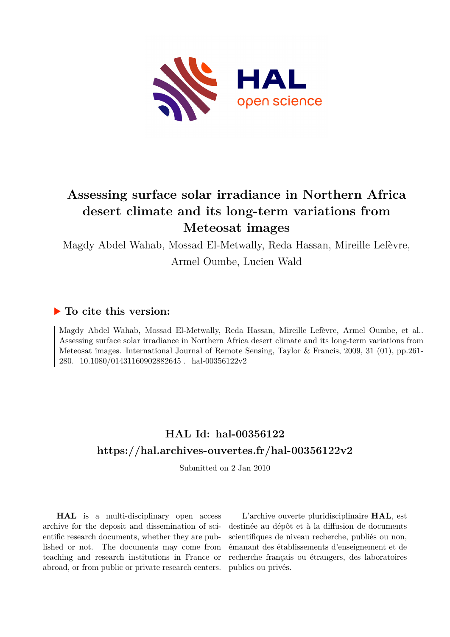

# **Assessing surface solar irradiance in Northern Africa desert climate and its long-term variations from Meteosat images**

Magdy Abdel Wahab, Mossad El-Metwally, Reda Hassan, Mireille Lefèvre,

Armel Oumbe, Lucien Wald

### **To cite this version:**

Magdy Abdel Wahab, Mossad El-Metwally, Reda Hassan, Mireille Lefèvre, Armel Oumbe, et al.. Assessing surface solar irradiance in Northern Africa desert climate and its long-term variations from Meteosat images. International Journal of Remote Sensing, Taylor & Francis, 2009, 31 (01), pp.261- 280.  $10.1080/01431160902882645$ . hal-00356122v2

# **HAL Id: hal-00356122 <https://hal.archives-ouvertes.fr/hal-00356122v2>**

Submitted on 2 Jan 2010

**HAL** is a multi-disciplinary open access archive for the deposit and dissemination of scientific research documents, whether they are published or not. The documents may come from teaching and research institutions in France or abroad, or from public or private research centers.

L'archive ouverte pluridisciplinaire **HAL**, est destinée au dépôt et à la diffusion de documents scientifiques de niveau recherche, publiés ou non, émanant des établissements d'enseignement et de recherche français ou étrangers, des laboratoires publics ou privés.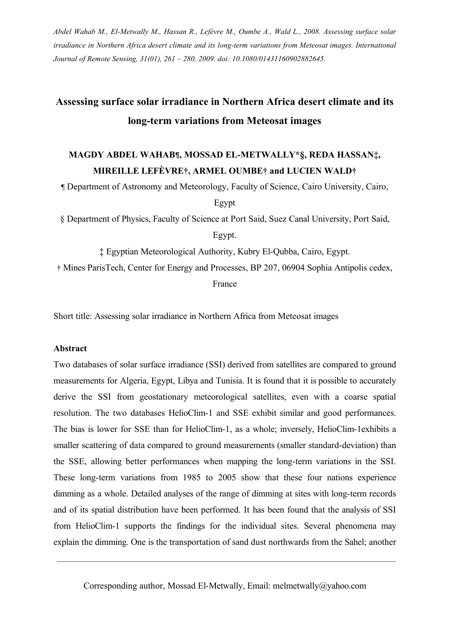*Abdel Wahab M., El-Metwally M., Hassan R., LefÄvre M., Oumbe A., Wald L., 2008. Assessing surface solar irradiance in Northern Africa desert climate and its long-term variations from Meteosat images. International Journal of Remote Sensing, 31(01), 261 – 280, 2009. doi: 10.1080/01431160902882645.*

# **Assessing surface solar irradiance in Northern Africa desert climate and its long-term variations from Meteosat images**

## **MAGDY ABDEL WAHAB¶, MOSSAD EL-METWALLY\*Ä, REDA HASSAN‡, MIREILLE LEFÇVRE†, ARMEL OUMBE† and LUCIEN WALD†**

Ä Department of Astronomy and Meteorology, Faculty of Science, Cairo University, Cairo,

Egypt

Å Department of Physics, Faculty of Science at Port Said, Suez Canal University, Port Said,

Egypt.

‡ Egyptian Meteorological Authority, Kubry El-Qubba, Cairo, Egypt.

† Mines ParisTech, Center for Energy and Processes, BP 207, 06904 Sophia Antipolis cedex,

France

Short title: Assessing solar irradiance in Northern Africa from Meteosat images

#### **Abstract**

Two databases of solar surface irradiance (SSI) derived from satellites are compared to ground measurements for Algeria, Egypt, Libya and Tunisia. It is found that it is possible to accurately derive the SSI from geostationary meteorological satellites, even with a coarse spatial resolution. The two databases HelioClim-1 and SSE exhibit similar and good performances. The bias is lower for SSE than for HelioClim-1, as a whole; inversely, HelioClim-1exhibits a smaller scattering of data compared to ground measurements (smaller standard-deviation) than the SSE, allowing better performances when mapping the long-term variations in the SSI. These long-term variations from 1985 to 2005 show that these four nations experience dimming as a whole. Detailed analyses of the range of dimming at sites with long-term records and of its spatial distribution have been performed. It has been found that the analysis of SSI from HelioClim-1 supports the findings for the individual sites. Several phenomena may explain the dimming. One is the transportation of sand dust northwards from the Sahel; another

Corresponding author, Mossad El-Metwally, Email: melmetwally@yahoo.com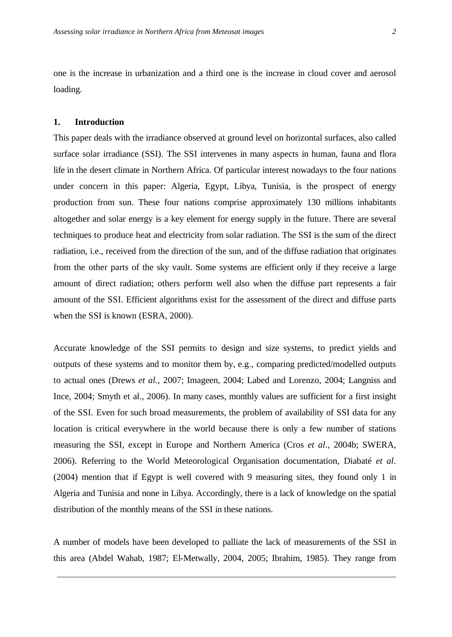one is the increase in urbanization and a third one is the increase in cloud cover and aerosol loading.

### **1. Introduction**

This paper deals with the irradiance observed at ground level on horizontal surfaces, also called surface solar irradiance (SSI). The SSI intervenes in many aspects in human, fauna and flora life in the desert climate in Northern Africa. Of particular interest nowadays to the four nations under concern in this paper: Algeria, Egypt, Libya, Tunisia, is the prospect of energy production from sun. These four nations comprise approximately 130 millions inhabitants altogether and solar energy is a key element for energy supply in the future. There are several techniques to produce heat and electricity from solar radiation. The SSI is the sum of the direct radiation, i.e., received from the direction of the sun, and of the diffuse radiation that originates from the other parts of the sky vault. Some systems are efficient only if they receive a large amount of direct radiation; others perform well also when the diffuse part represents a fair amount of the SSI. Efficient algorithms exist for the assessment of the direct and diffuse parts when the SSI is known (ESRA, 2000).

Accurate knowledge of the SSI permits to design and size systems, to predict yields and outputs of these systems and to monitor them by, e.g., comparing predicted/modelled outputs to actual ones (Drews *et al.*, 2007; Imageen, 2004; Labed and Lorenzo, 2004; Langniss and Ince, 2004; Smyth et al., 2006). In many cases, monthly values are sufficient for a first insight of the SSI. Even for such broad measurements, the problem of availability of SSI data for any location is critical everywhere in the world because there is only a few number of stations measuring the SSI, except in Europe and Northern America (Cros *et al*., 2004b; SWERA, 2006). Referring to the World Meteorological Organisation documentation, Diabaté *et al*. (2004) mention that if Egypt is well covered with 9 measuring sites, they found only 1 in Algeria and Tunisia and none in Libya. Accordingly, there is a lack of knowledge on the spatial distribution of the monthly means of the SSI in these nations.

A number of models have been developed to palliate the lack of measurements of the SSI in this area (Abdel Wahab, 1987; El-Metwally, 2004, 2005; Ibrahim, 1985). They range from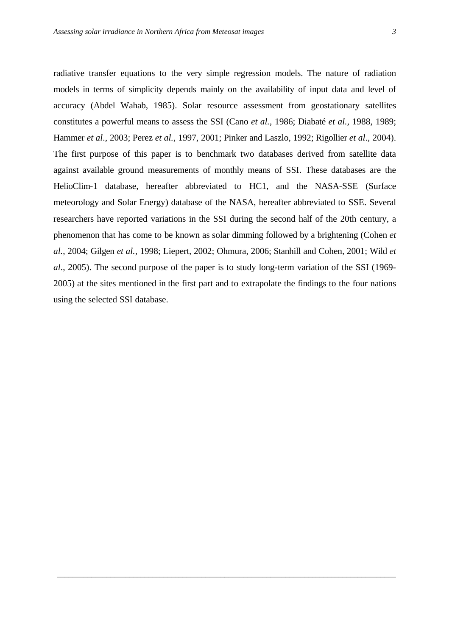radiative transfer equations to the very simple regression models. The nature of radiation models in terms of simplicity depends mainly on the availability of input data and level of accuracy (Abdel Wahab, 1985). Solar resource assessment from geostationary satellites constitutes a powerful means to assess the SSI (Cano *et al.*, 1986; Diabaté *et al.,* 1988, 1989; Hammer *et al*., 2003; Perez *et al.*, 1997, 2001; Pinker and Laszlo, 1992; Rigollier *et al*., 2004). The first purpose of this paper is to benchmark two databases derived from satellite data against available ground measurements of monthly means of SSI. These databases are the HelioClim-1 database, hereafter abbreviated to HC1, and the NASA-SSE (Surface meteorology and Solar Energy) database of the NASA, hereafter abbreviated to SSE. Several researchers have reported variations in the SSI during the second half of the 20th century, a phenomenon that has come to be known as solar dimming followed by a brightening (Cohen *et al.*, 2004; Gilgen *et al.*, 1998; Liepert, 2002; Ohmura, 2006; Stanhill and Cohen, 2001; Wild *et al*., 2005). The second purpose of the paper is to study long-term variation of the SSI (1969- 2005) at the sites mentioned in the first part and to extrapolate the findings to the four nations using the selected SSI database.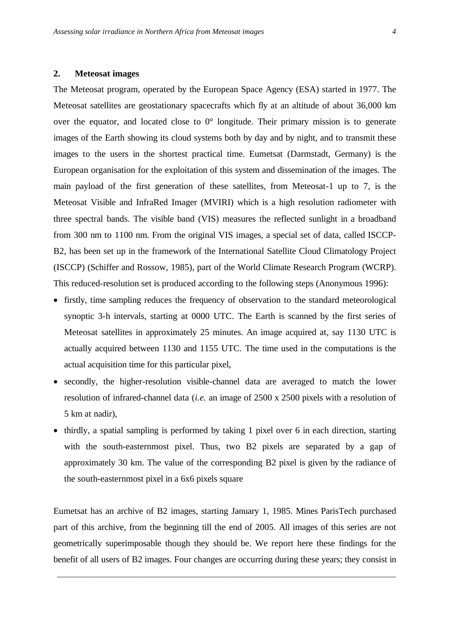#### **2. Meteosat images**

The Meteosat program, operated by the European Space Agency (ESA) started in 1977. The Meteosat satellites are geostationary spacecrafts which fly at an altitude of about 36,000 km over the equator, and located close to  $0^{\circ}$  longitude. Their primary mission is to generate images of the Earth showing its cloud systems both by day and by night, and to transmit these images to the users in the shortest practical time. Eumetsat (Darmstadt, Germany) is the European organisation for the exploitation of this system and dissemination of the images. The main payload of the first generation of these satellites, from Meteosat-1 up to 7, is the Meteosat Visible and InfraRed Imager (MVIRI) which is a high resolution radiometer with three spectral bands. The visible band (VIS) measures the reflected sunlight in a broadband from 300 nm to 1100 nm. From the original VIS images, a special set of data, called ISCCP-B2, has been set up in the framework of the International Satellite Cloud Climatology Project (ISCCP) (Schiffer and Rossow, 1985), part of the World Climate Research Program (WCRP). This reduced-resolution set is produced according to the following steps (Anonymous 1996):

- firstly, time sampling reduces the frequency of observation to the standard meteorological synoptic 3-h intervals, starting at 0000 UTC. The Earth is scanned by the first series of Meteosat satellites in approximately 25 minutes. An image acquired at, say 1130 UTC is actually acquired between 1130 and 1155 UTC. The time used in the computations is the actual acquisition time for this particular pixel,
- secondly, the higher-resolution visible-channel data are averaged to match the lower resolution of infrared-channel data (*i.e.* an image of 2500 x 2500 pixels with a resolution of 5 km at nadir),
- thirdly, a spatial sampling is performed by taking 1 pixel over 6 in each direction, starting with the south-easternmost pixel. Thus, two B2 pixels are separated by a gap of approximately 30 km. The value of the corresponding B2 pixel is given by the radiance of the south-easternmost pixel in a 6x6 pixels square

Eumetsat has an archive of B2 images, starting January 1, 1985. Mines ParisTech purchased part of this archive, from the beginning till the end of 2005. All images of this series are not geometrically superimposable though they should be. We report here these findings for the benefit of all users of B2 images. Four changes are occurring during these years; they consist in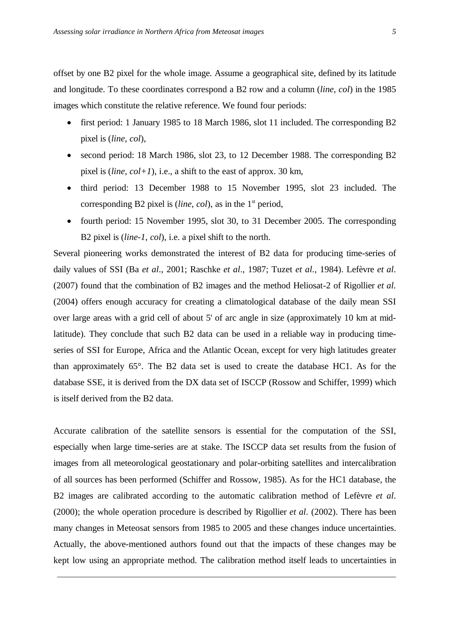offset by one B2 pixel for the whole image. Assume a geographical site, defined by its latitude and longitude. To these coordinates correspond a B2 row and a column (*line*, *col*) in the 1985 images which constitute the relative reference. We found four periods:

- first period: 1 January 1985 to 18 March 1986, slot 11 included. The corresponding B2 pixel is (*line*, *col*),
- second period: 18 March 1986, slot 23, to 12 December 1988. The corresponding B2 pixel is (*line*, *col+1*), i.e., a shift to the east of approx. 30 km,
- third period: 13 December 1988 to 15 November 1995, slot 23 included. The corresponding B2 pixel is (*line*, *col*), as in the 1<sup>st</sup> period,
- fourth period: 15 November 1995, slot 30, to 31 December 2005. The corresponding B2 pixel is (*line-1*, *col*), i.e. a pixel shift to the north.

Several pioneering works demonstrated the interest of B2 data for producing time-series of daily values of SSI (Ba *et al*., 2001; Raschke *et al*., 1987; Tuzet *et al*., 1984). Lefèvre *et al*. (2007) found that the combination of B2 images and the method Heliosat-2 of Rigollier *et al.* (2004) offers enough accuracy for creating a climatological database of the daily mean SSI over large areas with a grid cell of about 5' of arc angle in size (approximately 10 km at midlatitude). They conclude that such B2 data can be used in a reliable way in producing timeseries of SSI for Europe, Africa and the Atlantic Ocean, except for very high latitudes greater than approximately 65°. The B2 data set is used to create the database HC1. As for the database SSE, it is derived from the DX data set of ISCCP (Rossow and Schiffer, 1999) which is itself derived from the B2 data.

Accurate calibration of the satellite sensors is essential for the computation of the SSI, especially when large time-series are at stake. The ISCCP data set results from the fusion of images from all meteorological geostationary and polar-orbiting satellites and intercalibration of all sources has been performed (Schiffer and Rossow, 1985). As for the HC1 database, the B2 images are calibrated according to the automatic calibration method of Lefèvre *et al*. (2000); the whole operation procedure is described by Rigollier *et al*. (2002). There has been many changes in Meteosat sensors from 1985 to 2005 and these changes induce uncertainties. Actually, the above-mentioned authors found out that the impacts of these changes may be kept low using an appropriate method. The calibration method itself leads to uncertainties in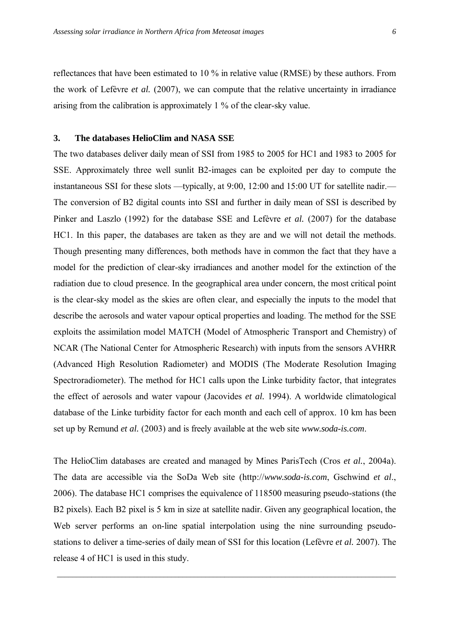reflectances that have been estimated to 10 % in relative value (RMSE) by these authors. From the work of Lefèvre *et al.* (2007), we can compute that the relative uncertainty in irradiance arising from the calibration is approximately 1 % of the clear-sky value.

#### **3. The databases HelioClim and NASA SSE**

The two databases deliver daily mean of SSI from 1985 to 2005 for HC1 and 1983 to 2005 for SSE. Approximately three well sunlit B2-images can be exploited per day to compute the instantaneous SSI for these slots —typically, at 9:00, 12:00 and 15:00 UT for satellite nadir.— The conversion of B2 digital counts into SSI and further in daily mean of SSI is described by Pinker and Laszlo (1992) for the database SSE and Lefèvre *et al.* (2007) for the database HC1. In this paper, the databases are taken as they are and we will not detail the methods. Though presenting many differences, both methods have in common the fact that they have a model for the prediction of clear-sky irradiances and another model for the extinction of the radiation due to cloud presence. In the geographical area under concern, the most critical point is the clear-sky model as the skies are often clear, and especially the inputs to the model that describe the aerosols and water vapour optical properties and loading. The method for the SSE exploits the assimilation model MATCH (Model of Atmospheric Transport and Chemistry) of NCAR (The National Center for Atmospheric Research) with inputs from the sensors AVHRR (Advanced High Resolution Radiometer) and MODIS (The Moderate Resolution Imaging Spectroradiometer). The method for HC1 calls upon the Linke turbidity factor, that integrates the effect of aerosols and water vapour (Jacovides *et al.* 1994). A worldwide climatological database of the Linke turbidity factor for each month and each cell of approx. 10 km has been set up by Remund *et al.* (2003) and is freely available at the web site *www.soda-is.com*.

The HelioClim databases are created and managed by Mines ParisTech (Cros *et al.*, 2004a). The data are accessible via the SoDa Web site (http://*www.soda-is.com*, Gschwind *et al*., 2006). The database HC1 comprises the equivalence of 118500 measuring pseudo-stations (the B2 pixels). Each B2 pixel is 5 km in size at satellite nadir. Given any geographical location, the Web server performs an on-line spatial interpolation using the nine surrounding pseudostations to deliver a time-series of daily mean of SSI for this location (Lefèvre et al. 2007). The release 4 of HC1 is used in this study.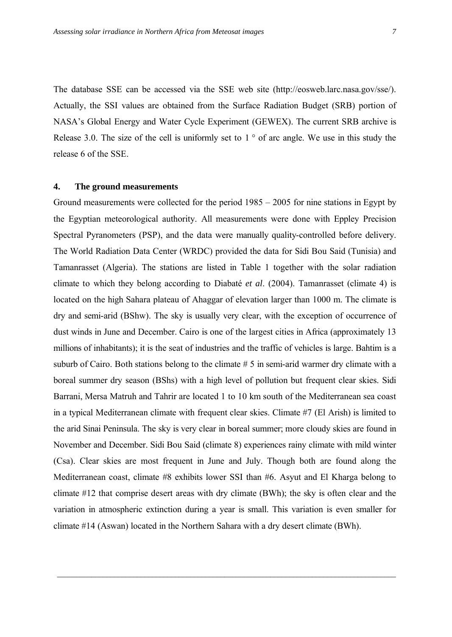The database SSE can be accessed via the SSE web site (http://eosweb.larc.nasa.gov/sse/). Actually, the SSI values are obtained from the Surface Radiation Budget (SRB) portion of NASA's Global Energy and Water Cycle Experiment (GEWEX). The current SRB archive is Release 3.0. The size of the cell is uniformly set to  $1^\circ$  of arc angle. We use in this study the release 6 of the SSE.

#### **4. The ground measurements**

Ground measurements were collected for the period 1985 – 2005 for nine stations in Egypt by the Egyptian meteorological authority. All measurements were done with Eppley Precision Spectral Pyranometers (PSP), and the data were manually quality-controlled before delivery. The World Radiation Data Center (WRDC) provided the data for Sidi Bou Said (Tunisia) and Tamanrasset (Algeria). The stations are listed in Table 1 together with the solar radiation climate to which they belong according to Diabaté *et al.* (2004). Tamanrasset (climate 4) is located on the high Sahara plateau of Ahaggar of elevation larger than 1000 m. The climate is dry and semi-arid (BShw). The sky is usually very clear, with the exception of occurrence of dust winds in June and December. Cairo is one of the largest cities in Africa (approximately 13 millions of inhabitants); it is the seat of industries and the traffic of vehicles is large. Bahtim is a suburb of Cairo. Both stations belong to the climate # 5 in semi-arid warmer dry climate with a boreal summer dry season (BShs) with a high level of pollution but frequent clear skies. Sidi Barrani, Mersa Matruh and Tahrir are located 1 to 10 km south of the Mediterranean sea coast in a typical Mediterranean climate with frequent clear skies. Climate #7 (El Arish) is limited to the arid Sinai Peninsula. The sky is very clear in boreal summer; more cloudy skies are found in November and December. Sidi Bou Said (climate 8) experiences rainy climate with mild winter (Csa). Clear skies are most frequent in June and July. Though both are found along the Mediterranean coast, climate #8 exhibits lower SSI than #6. Asyut and El Kharga belong to climate #12 that comprise desert areas with dry climate (BWh); the sky is often clear and the variation in atmospheric extinction during a year is small. This variation is even smaller for climate #14 (Aswan) located in the Northern Sahara with a dry desert climate (BWh).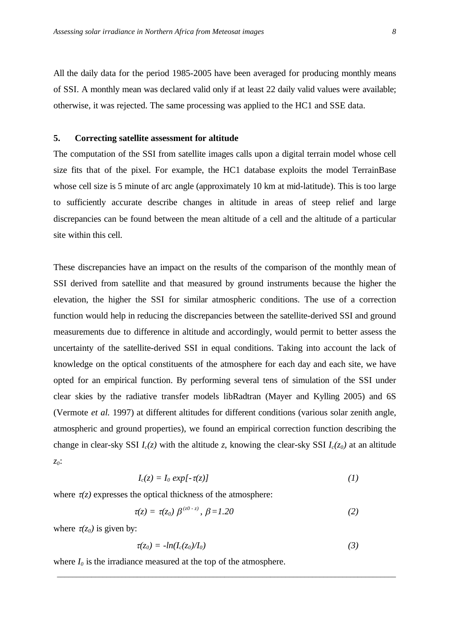All the daily data for the period 1985-2005 have been averaged for producing monthly means of SSI. A monthly mean was declared valid only if at least 22 daily valid values were available; otherwise, it was rejected. The same processing was applied to the HC1 and SSE data.

#### **5. Correcting satellite assessment for altitude**

The computation of the SSI from satellite images calls upon a digital terrain model whose cell size fits that of the pixel. For example, the HC1 database exploits the model TerrainBase whose cell size is 5 minute of arc angle (approximately 10 km at mid-latitude). This is too large to sufficiently accurate describe changes in altitude in areas of steep relief and large discrepancies can be found between the mean altitude of a cell and the altitude of a particular site within this cell.

These discrepancies have an impact on the results of the comparison of the monthly mean of SSI derived from satellite and that measured by ground instruments because the higher the elevation, the higher the SSI for similar atmospheric conditions. The use of a correction function would help in reducing the discrepancies between the satellite-derived SSI and ground measurements due to difference in altitude and accordingly, would permit to better assess the uncertainty of the satellite-derived SSI in equal conditions. Taking into account the lack of knowledge on the optical constituents of the atmosphere for each day and each site, we have opted for an empirical function. By performing several tens of simulation of the SSI under clear skies by the radiative transfer models libRadtran (Mayer and Kylling 2005) and 6S (Vermote *et al.* 1997) at different altitudes for different conditions (various solar zenith angle, atmospheric and ground properties), we found an empirical correction function describing the change in clear-sky SSI  $I_c(z)$  with the altitude *z*, knowing the clear-sky SSI  $I_c(z_0)$  at an altitude *z0*:

$$
I_c(z) = I_0 \exp[-\tau(z)] \tag{1}
$$

where  $\tau(z)$  expresses the optical thickness of the atmosphere:

$$
\tau(z) = \tau(z_0) \beta^{(z_0 - z)}, \beta = 1.20 \tag{2}
$$

where  $\tau(z_0)$  is given by:

$$
\tau(z_0) = -\ln(I_c(z_0)/I_0) \tag{3}
$$

*\_\_\_\_\_\_\_\_\_\_\_\_\_\_\_\_\_\_\_\_\_\_\_\_\_\_\_\_\_\_\_\_\_\_\_\_\_\_\_\_\_\_\_\_\_\_\_\_\_\_\_\_\_\_\_\_\_\_\_\_\_\_\_\_\_\_\_\_\_\_\_\_\_\_\_\_\_\_\_\_\_\_\_\_\_\_\_\_\_*

where  $I_0$  is the irradiance measured at the top of the atmosphere.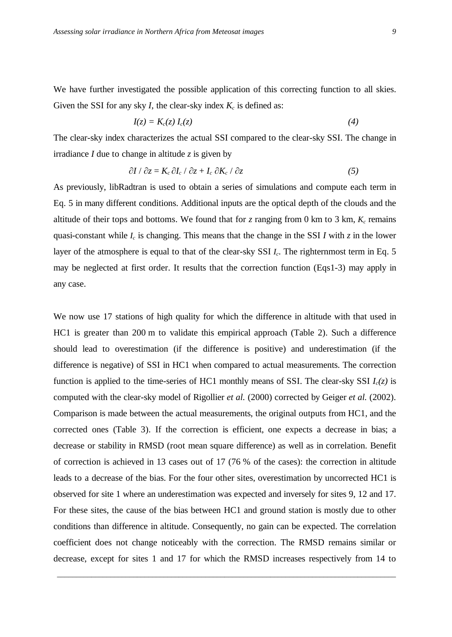We have further investigated the possible application of this correcting function to all skies. Given the SSI for any sky *I*, the clear-sky index  $K_c$  is defined as:

$$
I(z) = K_c(z) I_c(z) \tag{4}
$$

The clear-sky index characterizes the actual SSI compared to the clear-sky SSI. The change in irradiance *I* due to change in altitude *z* is given by

$$
\partial I / \partial z = K_c \partial I_c / \partial z + I_c \partial K_c / \partial z \tag{5}
$$

As previously, libRadtran is used to obtain a series of simulations and compute each term in Eq. 5 in many different conditions. Additional inputs are the optical depth of the clouds and the altitude of their tops and bottoms. We found that for  $\zeta$  ranging from 0 km to 3 km,  $K_c$  remains quasi-constant while *I<sup>c</sup>* is changing. This means that the change in the SSI *I* with *z* in the lower layer of the atmosphere is equal to that of the clear-sky SSI *Ic*. The righternmost term in Eq. 5 may be neglected at first order. It results that the correction function (Eqs1-3) may apply in any case.

We now use 17 stations of high quality for which the difference in altitude with that used in HC1 is greater than 200 m to validate this empirical approach (Table 2). Such a difference should lead to overestimation (if the difference is positive) and underestimation (if the difference is negative) of SSI in HC1 when compared to actual measurements. The correction function is applied to the time-series of HC1 monthly means of SSI. The clear-sky SSI  $I_c(z)$  is computed with the clear-sky model of Rigollier *et al.* (2000) corrected by Geiger *et al.* (2002). Comparison is made between the actual measurements, the original outputs from HC1, and the corrected ones (Table 3). If the correction is efficient, one expects a decrease in bias; a decrease or stability in RMSD (root mean square difference) as well as in correlation. Benefit of correction is achieved in 13 cases out of 17 (76 % of the cases): the correction in altitude leads to a decrease of the bias. For the four other sites, overestimation by uncorrected HC1 is observed for site 1 where an underestimation was expected and inversely for sites 9, 12 and 17. For these sites, the cause of the bias between HC1 and ground station is mostly due to other conditions than difference in altitude. Consequently, no gain can be expected. The correlation coefficient does not change noticeably with the correction. The RMSD remains similar or decrease, except for sites 1 and 17 for which the RMSD increases respectively from 14 to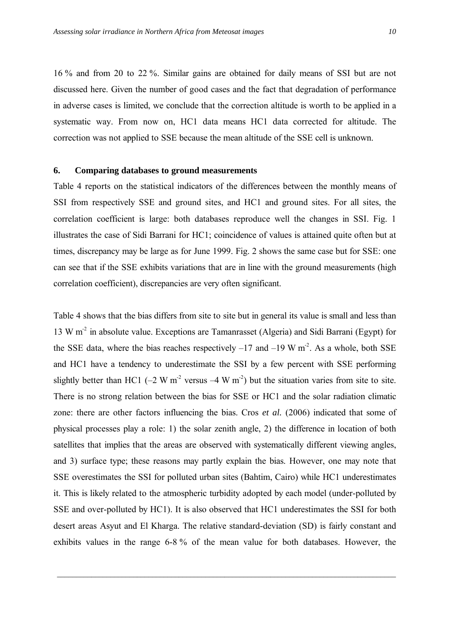16 % and from 20 to 22 %. Similar gains are obtained for daily means of SSI but are not discussed here. Given the number of good cases and the fact that degradation of performance in adverse cases is limited, we conclude that the correction altitude is worth to be applied in a systematic way. From now on, HC1 data means HC1 data corrected for altitude. The correction was not applied to SSE because the mean altitude of the SSE cell is unknown.

#### **6. Comparing databases to ground measurements**

Table 4 reports on the statistical indicators of the differences between the monthly means of SSI from respectively SSE and ground sites, and HC1 and ground sites. For all sites, the correlation coefficient is large: both databases reproduce well the changes in SSI. Fig. 1 illustrates the case of Sidi Barrani for HC1; coincidence of values is attained quite often but at times, discrepancy may be large as for June 1999. Fig. 2 shows the same case but for SSE: one can see that if the SSE exhibits variations that are in line with the ground measurements (high correlation coefficient), discrepancies are very often significant.

Table 4 shows that the bias differs from site to site but in general its value is small and less than 13 W m<sup>-2</sup> in absolute value. Exceptions are Tamanrasset (Algeria) and Sidi Barrani (Egypt) for the SSE data, where the bias reaches respectively  $-17$  and  $-19$  W m<sup>-2</sup>. As a whole, both SSE and HC1 have a tendency to underestimate the SSI by a few percent with SSE performing slightly better than HC1 ( $-2 \text{ W m}^2$  versus  $-4 \text{ W m}^2$ ) but the situation varies from site to site. There is no strong relation between the bias for SSE or HC1 and the solar radiation climatic zone: there are other factors influencing the bias. Cros *et al.* (2006) indicated that some of physical processes play a role: 1) the solar zenith angle, 2) the difference in location of both satellites that implies that the areas are observed with systematically different viewing angles, and 3) surface type; these reasons may partly explain the bias. However, one may note that SSE overestimates the SSI for polluted urban sites (Bahtim, Cairo) while HC1 underestimates it. This is likely related to the atmospheric turbidity adopted by each model (under-polluted by SSE and over-polluted by HC1). It is also observed that HC1 underestimates the SSI for both desert areas Asyut and El Kharga. The relative standard-deviation (SD) is fairly constant and exhibits values in the range 6-8 % of the mean value for both databases. However, the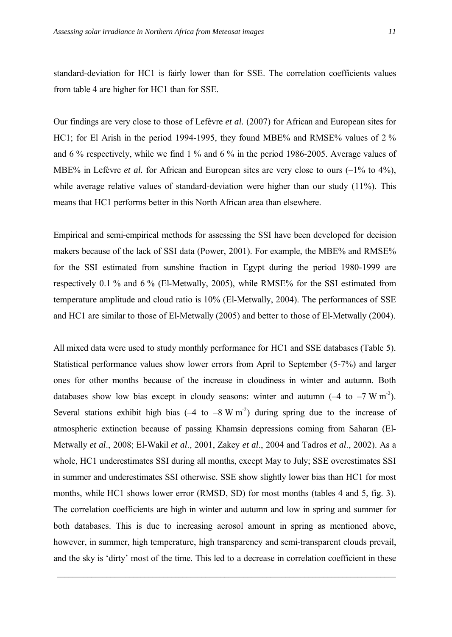standard-deviation for HC1 is fairly lower than for SSE. The correlation coefficients values from table 4 are higher for HC1 than for SSE.

Our findings are very close to those of Lefèvre *et al.* (2007) for African and European sites for HC1; for El Arish in the period 1994-1995, they found MBE% and RMSE% values of 2 % and 6 % respectively, while we find 1 % and 6 % in the period 1986-2005. Average values of MBE% in Lefèvre *et al.* for African and European sites are very close to ours  $(-1)$  to  $4\%$ ). while average relative values of standard-deviation were higher than our study (11%). This means that HC1 performs better in this North African area than elsewhere.

Empirical and semi-empirical methods for assessing the SSI have been developed for decision makers because of the lack of SSI data (Power, 2001). For example, the MBE% and RMSE% for the SSI estimated from sunshine fraction in Egypt during the period 1980-1999 are respectively 0.1 % and 6 % (El-Metwally, 2005), while RMSE% for the SSI estimated from temperature amplitude and cloud ratio is 10% (El-Metwally, 2004). The performances of SSE and HC1 are similar to those of El-Metwally (2005) and better to those of El-Metwally (2004).

All mixed data were used to study monthly performance for HC1 and SSE databases (Table 5). Statistical performance values show lower errors from April to September (5-7%) and larger ones for other months because of the increase in cloudiness in winter and autumn. Both databases show low bias except in cloudy seasons: winter and autumn  $(-4 \text{ to } -7 \text{ W m}^2)$ . Several stations exhibit high bias  $(-4 \text{ to } -8 \text{ W m}^2)$  during spring due to the increase of atmospheric extinction because of passing Khamsin depressions coming from Saharan (El-Metwally *et al*., 2008; El-Wakil *et al*., 2001, Zakey *et al*., 2004 and Tadros *et al*., 2002). As a whole, HC1 underestimates SSI during all months, except May to July; SSE overestimates SSI in summer and underestimates SSI otherwise. SSE show slightly lower bias than HC1 for most months, while HC1 shows lower error (RMSD, SD) for most months (tables 4 and 5, fig. 3). The correlation coefficients are high in winter and autumn and low in spring and summer for both databases. This is due to increasing aerosol amount in spring as mentioned above, however, in summer, high temperature, high transparency and semi-transparent clouds prevail, and the sky is 'dirty' most of the time. This led to a decrease in correlation coefficient in these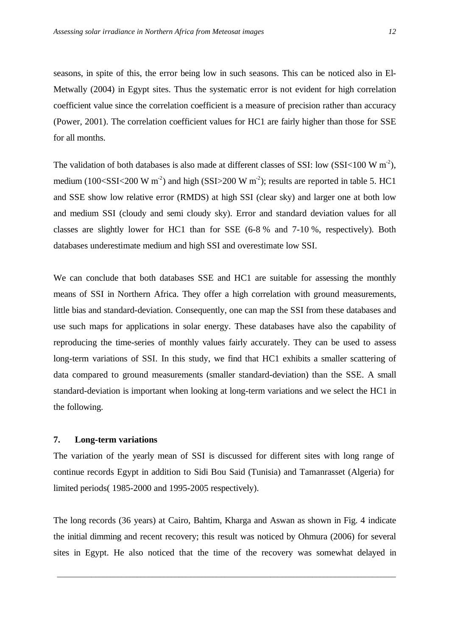seasons, in spite of this, the error being low in such seasons. This can be noticed also in El-Metwally (2004) in Egypt sites. Thus the systematic error is not evident for high correlation coefficient value since the correlation coefficient is a measure of precision rather than accuracy (Power, 2001). The correlation coefficient values for HC1 are fairly higher than those for SSE for all months.

The validation of both databases is also made at different classes of SSI: low (SSI<100 W m<sup>2</sup>), medium (100<SSI<200 W m<sup>-2</sup>) and high (SSI>200 W m<sup>-2</sup>); results are reported in table 5. HC1 and SSE show low relative error (RMDS) at high SSI (clear sky) and larger one at both low and medium SSI (cloudy and semi cloudy sky). Error and standard deviation values for all classes are slightly lower for HC1 than for SSE (6-8 % and 7-10 %, respectively). Both databases underestimate medium and high SSI and overestimate low SSI.

We can conclude that both databases SSE and HC1 are suitable for assessing the monthly means of SSI in Northern Africa. They offer a high correlation with ground measurements, little bias and standard-deviation. Consequently, one can map the SSI from these databases and use such maps for applications in solar energy. These databases have also the capability of reproducing the time-series of monthly values fairly accurately. They can be used to assess long-term variations of SSI. In this study, we find that HC1 exhibits a smaller scattering of data compared to ground measurements (smaller standard-deviation) than the SSE. A small standard-deviation is important when looking at long-term variations and we select the HC1 in the following.

#### **7. Long-term variations**

The variation of the yearly mean of SSI is discussed for different sites with long range of continue records Egypt in addition to Sidi Bou Said (Tunisia) and Tamanrasset (Algeria) for limited periods( 1985-2000 and 1995-2005 respectively).

The long records (36 years) at Cairo, Bahtim, Kharga and Aswan as shown in Fig. 4 indicate the initial dimming and recent recovery; this result was noticed by Ohmura (2006) for several sites in Egypt. He also noticed that the time of the recovery was somewhat delayed in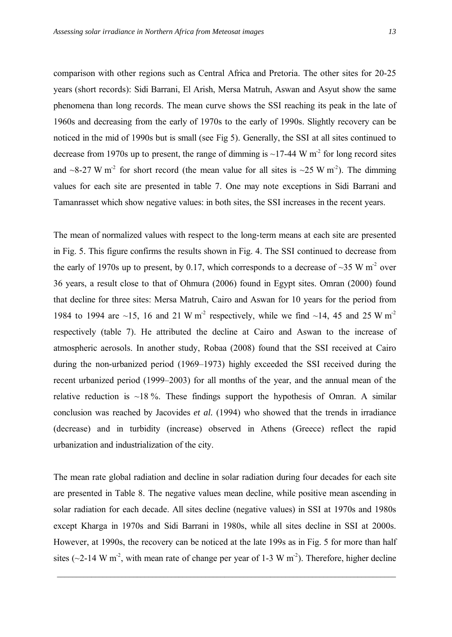comparison with other regions such as Central Africa and Pretoria. The other sites for 20-25 years (short records): Sidi Barrani, El Arish, Mersa Matruh, Aswan and Asyut show the same phenomena than long records. The mean curve shows the SSI reaching its peak in the late of 1960s and decreasing from the early of 1970s to the early of 1990s. Slightly recovery can be noticed in the mid of 1990s but is small (see Fig 5). Generally, the SSI at all sites continued to decrease from 1970s up to present, the range of dimming is  $\sim$ 17-44 W m<sup>-2</sup> for long record sites and ~8-27 W m<sup>-2</sup> for short record (the mean value for all sites is ~25 W m<sup>-2</sup>). The dimming values for each site are presented in table 7. One may note exceptions in Sidi Barrani and Tamanrasset which show negative values: in both sites, the SSI increases in the recent years.

The mean of normalized values with respect to the long-term means at each site are presented in Fig. 5. This figure confirms the results shown in Fig. 4. The SSI continued to decrease from the early of 1970s up to present, by 0.17, which corresponds to a decrease of  $\sim$ 35 W m<sup>-2</sup> over 36 years, a result close to that of Ohmura (2006) found in Egypt sites. Omran (2000) found that decline for three sites: Mersa Matruh, Cairo and Aswan for 10 years for the period from 1984 to 1994 are ~15, 16 and 21 W m<sup>-2</sup> respectively, while we find ~14, 45 and 25 W m<sup>-2</sup> respectively (table 7). He attributed the decline at Cairo and Aswan to the increase of atmospheric aerosols. In another study, Robaa (2008) found that the SSI received at Cairo during the non-urbanized period (1969–1973) highly exceeded the SSI received during the recent urbanized period (1999–2003) for all months of the year, and the annual mean of the relative reduction is  $\sim$ 18 %. These findings support the hypothesis of Omran. A similar conclusion was reached by Jacovides *et al.* (1994) who showed that the trends in irradiance (decrease) and in turbidity (increase) observed in Athens (Greece) reflect the rapid urbanization and industrialization of the city.

The mean rate global radiation and decline in solar radiation during four decades for each site are presented in Table 8. The negative values mean decline, while positive mean ascending in solar radiation for each decade. All sites decline (negative values) in SSI at 1970s and 1980s except Kharga in 1970s and Sidi Barrani in 1980s, while all sites decline in SSI at 2000s. However, at 1990s, the recovery can be noticed at the late 199s as in Fig. 5 for more than half sites ( $\sim$ 2-14 W m<sup>-2</sup>, with mean rate of change per year of 1-3 W m<sup>-2</sup>). Therefore, higher decline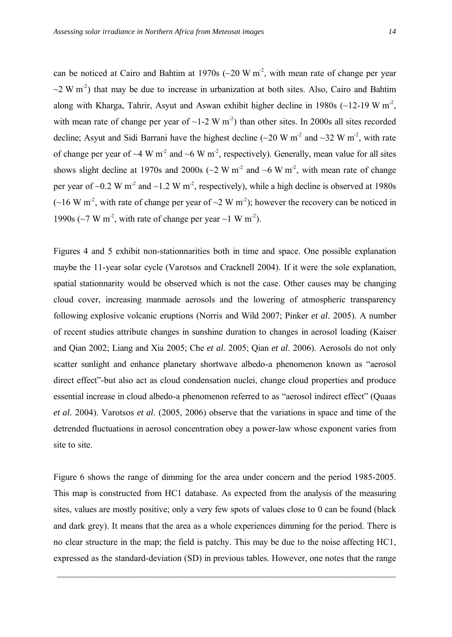can be noticed at Cairo and Bahtim at 1970s ( $\sim$ 20 W m<sup>-2</sup>, with mean rate of change per year  $\sim$ 2 W m<sup>-2</sup>) that may be due to increase in urbanization at both sites. Also, Cairo and Bahtim along with Kharga, Tahrir, Asyut and Aswan exhibit higher decline in 1980s ( $\sim$ 12-19 W m<sup>-2</sup>, with mean rate of change per year of  $\sim$ 1-2 W m<sup>-2</sup>) than other sites. In 2000s all sites recorded decline; Asyut and Sidi Barrani have the highest decline  $(-20 \text{ W m}^2 \text{ and } -32 \text{ W m}^2 \text{, with rate})$ of change per year of  $\sim$ 4 W m<sup>-2</sup> and  $\sim$ 6 W m<sup>-2</sup>, respectively). Generally, mean value for all sites shows slight decline at 1970s and 2000s ( $\sim$ 2 W m<sup>-2</sup> and  $\sim$ 6 W m<sup>-2</sup>, with mean rate of change per year of  $\sim$ 0.2 W m<sup>-2</sup> and  $\sim$ 1.2 W m<sup>-2</sup>, respectively), while a high decline is observed at 1980s  $(\sim]16 \text{ W m}^2$ , with rate of change per year of  $\sim$ 2 W m<sup>2</sup>); however the recovery can be noticed in 1990s ( $\sim$ 7 W m<sup>-2</sup>, with rate of change per year  $\sim$ 1 W m<sup>-2</sup>).

Figures 4 and 5 exhibit non-stationnarities both in time and space. One possible explanation maybe the 11-year solar cycle (Varotsos and Cracknell 2004). If it were the sole explanation, spatial stationnarity would be observed which is not the case. Other causes may be changing cloud cover, increasing manmade aerosols and the lowering of atmospheric transparency following explosive volcanic eruptions (Norris and Wild 2007; Pinker *et al*. 2005). A number of recent studies attribute changes in sunshine duration to changes in aerosol loading (Kaiser and Qian 2002; Liang and Xia 2005; Che *et al*. 2005; Qian *et al*. 2006). Aerosols do not only scatter sunlight and enhance planetary shortwave albedo-a phenomenon known as "aerosol direct effect"-but also act as cloud condensation nuclei, change cloud properties and produce essential increase in cloud albedo-a phenomenon referred to as "aerosol indirect effect" (Quaas *et al.* 2004). Varotsos *et al*. (2005, 2006) observe that the variations in space and time of the detrended fluctuations in aerosol concentration obey a power-law whose exponent varies from site to site.

Figure 6 shows the range of dimming for the area under concern and the period 1985-2005. This map is constructed from HC1 database. As expected from the analysis of the measuring sites, values are mostly positive; only a very few spots of values close to 0 can be found (black and dark grey). It means that the area as a whole experiences dimming for the period. There is no clear structure in the map; the field is patchy. This may be due to the noise affecting HC1, expressed as the standard-deviation (SD) in previous tables. However, one notes that the range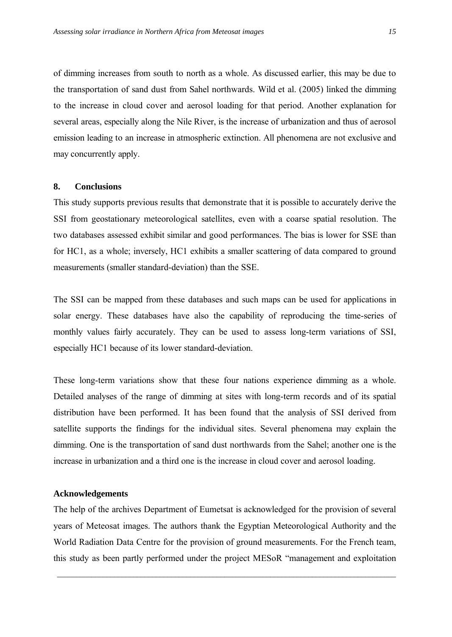of dimming increases from south to north as a whole. As discussed earlier, this may be due to the transportation of sand dust from Sahel northwards. Wild et al. (2005) linked the dimming to the increase in cloud cover and aerosol loading for that period. Another explanation for several areas, especially along the Nile River, is the increase of urbanization and thus of aerosol emission leading to an increase in atmospheric extinction. All phenomena are not exclusive and may concurrently apply.

#### **8. Conclusions**

This study supports previous results that demonstrate that it is possible to accurately derive the SSI from geostationary meteorological satellites, even with a coarse spatial resolution. The two databases assessed exhibit similar and good performances. The bias is lower for SSE than for HC1, as a whole; inversely, HC1 exhibits a smaller scattering of data compared to ground measurements (smaller standard-deviation) than the SSE.

The SSI can be mapped from these databases and such maps can be used for applications in solar energy. These databases have also the capability of reproducing the time-series of monthly values fairly accurately. They can be used to assess long-term variations of SSI, especially HC1 because of its lower standard-deviation.

These long-term variations show that these four nations experience dimming as a whole. Detailed analyses of the range of dimming at sites with long-term records and of its spatial distribution have been performed. It has been found that the analysis of SSI derived from satellite supports the findings for the individual sites. Several phenomena may explain the dimming. One is the transportation of sand dust northwards from the Sahel; another one is the increase in urbanization and a third one is the increase in cloud cover and aerosol loading.

#### **Acknowledgements**

The help of the archives Department of Eumetsat is acknowledged for the provision of several years of Meteosat images. The authors thank the Egyptian Meteorological Authority and the World Radiation Data Centre for the provision of ground measurements. For the French team, this study as been partly performed under the project MESoR "management and exploitation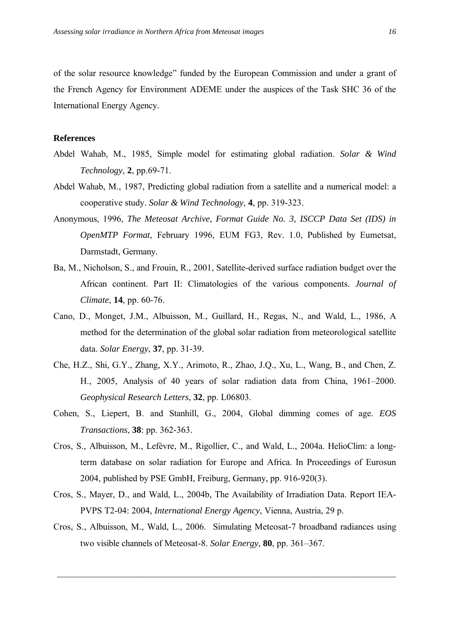of the solar resource knowledge" funded by the European Commission and under a grant of the French Agency for Environment ADEME under the auspices of the Task SHC 36 of the International Energy Agency.

#### **References**

- Abdel Wahab, M., 1985, Simple model for estimating global radiation. *Solar & Wind Technology*, **2**, pp.69-71.
- Abdel Wahab, M., 1987, Predicting global radiation from a satellite and a numerical model: a cooperative study. *Solar & Wind Technology*, **4**, pp. 319-323.
- Anonymous, 1996, *The Meteosat Archive, Format Guide No. 3, ISCCP Data Set (IDS) in OpenMTP Format*, February 1996, EUM FG3, Rev. 1.0, Published by Eumetsat, Darmstadt, Germany.
- Ba, M., Nicholson, S., and Frouin, R., 2001, Satellite-derived surface radiation budget over the African continent. Part II: Climatologies of the various components. *Journal of Climate*, **14**, pp. 60-76.
- Cano, D., Monget, J.M., Albuisson, M., Guillard, H., Regas, N., and Wald, L., 1986, A method for the determination of the global solar radiation from meteorological satellite data. *Solar Energy*, **37**, pp. 31-39.
- Che, H.Z., Shi, G.Y., Zhang, X.Y., Arimoto, R., Zhao, J.Q., Xu, L., Wang, B., and Chen, Z. H., 2005, Analysis of 40 years of solar radiation data from China, 1961–2000. *Geophysical Research Letters*, **32**, pp. L06803.
- Cohen, S., Liepert, B. and Stanhill, G., 2004, Global dimming comes of age. *EOS Transactions*, **38**: pp. 362-363.
- Cros, S., Albuisson, M., Lefèvre, M., Rigollier, C., and Wald, L., 2004a. HelioClim: a longterm database on solar radiation for Europe and Africa. In Proceedings of Eurosun 2004, published by PSE GmbH, Freiburg, Germany, pp. 916-920(3).
- Cros, S., Mayer, D., and Wald, L., 2004b, The Availability of Irradiation Data. Report IEA-PVPS T2-04: 2004, *International Energy Agency*, Vienna, Austria, 29 p.
- Cros, S., Albuisson, M., Wald, L., 2006. Simulating Meteosat-7 broadband radiances using two visible channels of Meteosat-8. *Solar Energy*, **80**, pp. 361–367.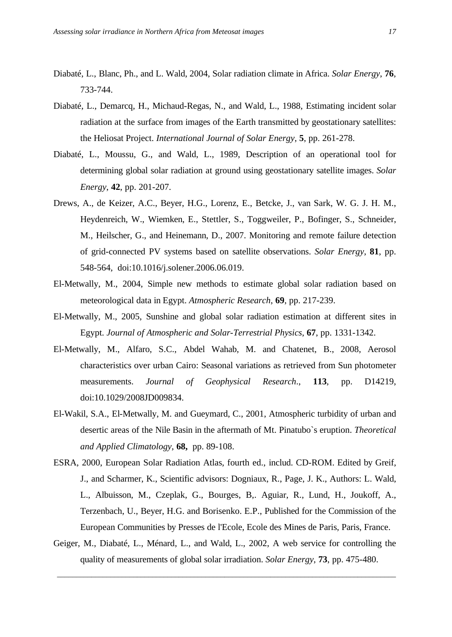- Diabaté, L., Blanc, Ph., and L. Wald, 2004, Solar radiation climate in Africa. *Solar Energy*, **76**, 733-744.
- Diabaté, L., Demarcq, H., Michaud-Regas, N., and Wald, L., 1988, Estimating incident solar radiation at the surface from images of the Earth transmitted by geostationary satellites: the Heliosat Project. *International Journal of Solar Energy*, **5**, pp. 261-278.
- Diabaté, L., Moussu, G., and Wald, L., 1989, Description of an operational tool for determining global solar radiation at ground using geostationary satellite images. *Solar Energy*, **42**, pp. 201-207.
- Drews, A., de Keizer, A.C., Beyer, H.G., Lorenz, E., Betcke, J., van Sark, W. G. J. H. M., Heydenreich, W., Wiemken, E., Stettler, S., Toggweiler, P., Bofinger, S., Schneider, M., Heilscher, G., and Heinemann, D., 2007. Monitoring and remote failure detection of grid-connected PV systems based on satellite observations. *Solar Energy*, **81**, pp. 548-564, doi:10.1016/j.solener.2006.06.019.
- El-Metwally, M., 2004, Simple new methods to estimate global solar radiation based on meteorological data in Egypt. *Atmospheric Research*, **69**, pp. 217-239.
- El-Metwally, M., 2005, Sunshine and global solar radiation estimation at different sites in Egypt. *Journal of Atmospheric and Solar-Terrestrial Physics*, **67**, pp. 1331-1342.
- El-Metwally, M., Alfaro, S.C., Abdel Wahab, M. and Chatenet, B., 2008, Aerosol characteristics over urban Cairo: Seasonal variations as retrieved from Sun photometer measurements. *Journal of Geophysical Research*., **113**, pp. D14219, doi:10.1029/2008JD009834.
- El-Wakil, S.A., El-Metwally, M. and Gueymard, C., 2001, Atmospheric turbidity of urban and desertic areas of the Nile Basin in the aftermath of Mt. Pinatubo`s eruption. *Theoretical and Applied Climatology*, **68,** pp. 89-108.
- ESRA, 2000, European Solar Radiation Atlas, fourth ed., includ. CD-ROM. Edited by Greif, J., and Scharmer, K., Scientific advisors: Dogniaux, R., Page, J. K., Authors: L. Wald, L., Albuisson, M., Czeplak, G., Bourges, B,. Aguiar, R., Lund, H., Joukoff, A., Terzenbach, U., Beyer, H.G. and Borisenko. E.P., Published for the Commission of the European Communities by Presses de l'Ecole, Ecole des Mines de Paris, Paris, France.
- Geiger, M., Diabaté, L., Ménard, L., and Wald, L., 2002, A web service for controlling the quality of measurements of global solar irradiation. *Solar Energy*, **73**, pp. 475-480.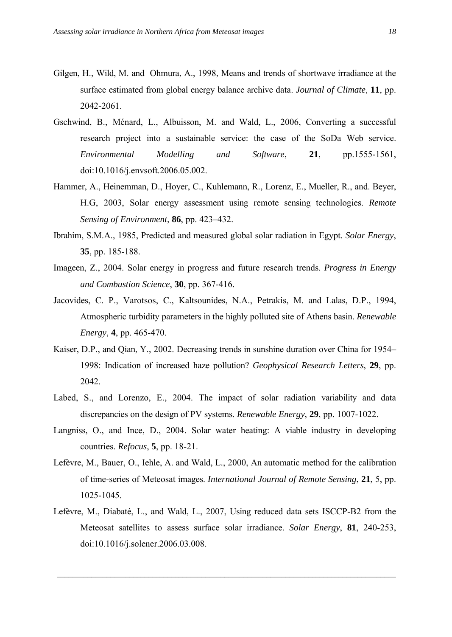- Gilgen, H., Wild, M. and Ohmura, A., 1998, Means and trends of shortwave irradiance at the surface estimated from global energy balance archive data. *Journal of Climate*, **11**, pp. 2042-2061.
- Gschwind, B., Mânard, L., Albuisson, M. and Wald, L., 2006, Converting a successful research project into a sustainable service: the case of the SoDa Web service. *Environmental Modelling and Software*, **21**, pp.1555-1561, doi:10.1016/j.envsoft.2006.05.002.
- Hammer, A., Heinemman, D., Hoyer, C., Kuhlemann, R., Lorenz, E., Mueller, R., and. Beyer, H.G, 2003, Solar energy assessment using remote sensing technologies. *Remote Sensing of Environment,* **86**, pp. 423–432.
- Ibrahim, S.M.A., 1985, Predicted and measured global solar radiation in Egypt. *Solar Energy*, **35**, pp. 185-188.
- Imageen, Z., 2004. Solar energy in progress and future research trends. *Progress in Energy and Combustion Science*, **30**, pp. 367-416.
- Jacovides, C. P., Varotsos, C., Kaltsounides, N.A., Petrakis, M. and Lalas, D.P., 1994, Atmospheric turbidity parameters in the highly polluted site of Athens basin. *Renewable Energy*, **4**, pp. 465-470.
- Kaiser, D.P., and Qian, Y., 2002. Decreasing trends in sunshine duration over China for 1954– 1998: Indication of increased haze pollution? *Geophysical Research Letters*, **29**, pp. 2042.
- Labed, S., and Lorenzo, E., 2004. The impact of solar radiation variability and data discrepancies on the design of PV systems. *Renewable Energy*, **29**, pp. 1007-1022.
- Langniss, O., and Ince, D., 2004. Solar water heating: A viable industry in developing countries. *Refocus*, **5**, pp. 18-21.
- Lefèvre, M., Bauer, O., Iehle, A. and Wald, L., 2000, An automatic method for the calibration of time-series of Meteosat images. *International Journal of Remote Sensing*, **21**, 5, pp. 1025-1045.
- Lefèvre, M., Diabaté, L., and Wald, L., 2007, Using reduced data sets ISCCP-B2 from the Meteosat satellites to assess surface solar irradiance. *Solar Energy*, **81**, 240-253, doi:10.1016/j.solener.2006.03.008.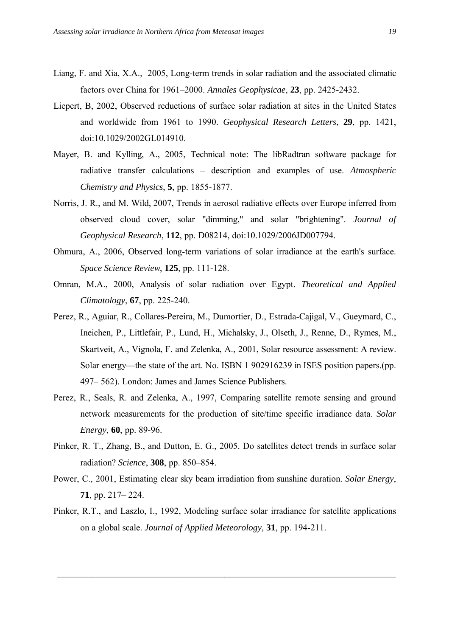- Liang, F. and Xia, X.A., 2005, Long-term trends in solar radiation and the associated climatic factors over China for 1961–2000. *Annales Geophysicae*, **23**, pp. 2425-2432.
- Liepert, B, 2002, Observed reductions of surface solar radiation at sites in the United States and worldwide from 1961 to 1990. *Geophysical Research Letters*, **29**, pp. 1421, doi:10.1029/2002GL014910.
- Mayer, B. and Kylling, A., 2005, Technical note: The libRadtran software package for radiative transfer calculations – description and examples of use. *Atmospheric Chemistry and Physics*, **5**, pp. 1855-1877.
- Norris, J. R., and M. Wild, 2007, Trends in aerosol radiative effects over Europe inferred from observed cloud cover, solar "dimming," and solar "brightening". *Journal of Geophysical Research*, **112**, pp. D08214, doi:10.1029/2006JD007794.
- Ohmura, A., 2006, Observed long-term variations of solar irradiance at the earth's surface. *Space Science Review*, **125**, pp. 111-128.
- Omran, M.A., 2000, Analysis of solar radiation over Egypt. *Theoretical and Applied Climatology*, **67**, pp. 225-240.
- Perez, R., Aguiar, R., Collares-Pereira, M., Dumortier, D., Estrada-Cajigal, V., Gueymard, C., Ineichen, P., Littlefair, P., Lund, H., Michalsky, J., Olseth, J., Renne, D., Rymes, M., Skartveit, A., Vignola, F. and Zelenka, A., 2001, Solar resource assessment: A review. Solar energy—the state of the art. No. ISBN 1 902916239 in ISES position papers.(pp. 497– 562). London: James and James Science Publishers.
- Perez, R., Seals, R. and Zelenka, A., 1997, Comparing satellite remote sensing and ground network measurements for the production of site/time specific irradiance data. *Solar Energy*, **60**, pp. 89-96.
- Pinker, R. T., Zhang, B., and Dutton, E. G., 2005. Do satellites detect trends in surface solar radiation? *Science*, **308**, pp. 850–854.
- Power, C., 2001, Estimating clear sky beam irradiation from sunshine duration. *Solar Energy*, **71**, pp. 217– 224.
- Pinker, R.T., and Laszlo, I., 1992, Modeling surface solar irradiance for satellite applications on a global scale. *Journal of Applied Meteorology*, **31**, pp. 194-211.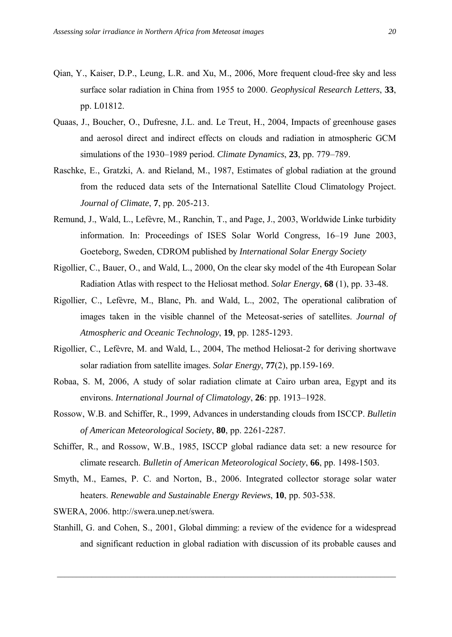- Qian, Y., Kaiser, D.P., Leung, L.R. and Xu, M., 2006, More frequent cloud-free sky and less surface solar radiation in China from 1955 to 2000. *Geophysical Research Letters*, **33**, pp. L01812.
- Quaas, J., Boucher, O., Dufresne, J.L. and. Le Treut, H., 2004, Impacts of greenhouse gases and aerosol direct and indirect effects on clouds and radiation in atmospheric GCM simulations of the 1930–1989 period. *Climate Dynamics*, **23**, pp. 779–789.
- Raschke, E., Gratzki, A. and Rieland, M., 1987, Estimates of global radiation at the ground from the reduced data sets of the International Satellite Cloud Climatology Project. *Journal of Climate*, **7**, pp. 205-213.
- Remund, J., Wald, L., Lefèvre, M., Ranchin, T., and Page, J., 2003, Worldwide Linke turbidity information. In: Proceedings of ISES Solar World Congress, 16–19 June 2003, Goeteborg, Sweden, CDROM published by *International Solar Energy Society*
- Rigollier, C., Bauer, O., and Wald, L., 2000, On the clear sky model of the 4th European Solar Radiation Atlas with respect to the Heliosat method. *Solar Energy*, **68** (1), pp. 33-48.
- Rigollier, C., Lefèvre, M., Blanc, Ph. and Wald, L., 2002, The operational calibration of images taken in the visible channel of the Meteosat-series of satellites. *Journal of Atmospheric and Oceanic Technology*, **19**, pp. 1285-1293.
- Rigollier, C., Lefèvre, M. and Wald, L., 2004, The method Heliosat-2 for deriving shortwave solar radiation from satellite images. *Solar Energy*, **77**(2), pp.159-169.
- Robaa, S. M, 2006, A study of solar radiation climate at Cairo urban area, Egypt and its environs. *International Journal of Climatology*, **26**: pp. 1913–1928.
- Rossow, W.B. and Schiffer, R., 1999, Advances in understanding clouds from ISCCP. *Bulletin of American Meteorological Society*, **80**, pp. 2261-2287.
- Schiffer, R., and Rossow, W.B., 1985, ISCCP global radiance data set: a new resource for climate research. *Bulletin of American Meteorological Society*, **66**, pp. 1498-1503.
- Smyth, M., Eames, P. C. and Norton, B., 2006. Integrated collector storage solar water heaters. *Renewable and Sustainable Energy Reviews*, **10**, pp. 503-538.
- SWERA, 2006. http://swera.unep.net/swera.
- Stanhill, G. and Cohen, S., 2001, Global dimming: a review of the evidence for a widespread and significant reduction in global radiation with discussion of its probable causes and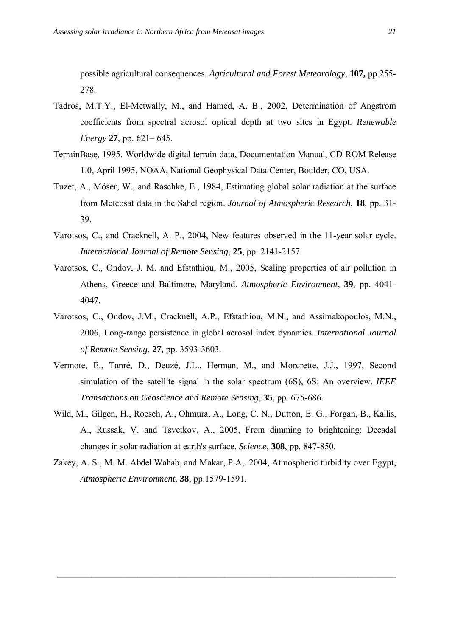possible agricultural consequences. *Agricultural and Forest Meteorology*, **107,** pp.255- 278.

- Tadros, M.T.Y., El-Metwally, M., and Hamed, A. B., 2002, Determination of Angstrom coefficients from spectral aerosol optical depth at two sites in Egypt. *Renewable Energy* **27**, pp. 621– 645.
- TerrainBase, 1995. Worldwide digital terrain data, Documentation Manual, CD-ROM Release 1.0, April 1995, NOAA, National Geophysical Data Center, Boulder, CO, USA.
- Tuzet, A., Möser, W., and Raschke, E., 1984, Estimating global solar radiation at the surface from Meteosat data in the Sahel region. *Journal of Atmospheric Research*, **18**, pp. 31- 39.
- Varotsos, C., and Cracknell, A. P., 2004, New features observed in the 11-year solar cycle. *International Journal of Remote Sensing*, **25**, pp. 2141-2157.
- Varotsos, C., Ondov, J. M. and Efstathiou, M., 2005, Scaling properties of air pollution in Athens, Greece and Baltimore, Maryland. *Atmospheric Environment*, **39**, pp. 4041- 4047.
- Varotsos, C., Ondov, J.M., Cracknell, A.P., Efstathiou, M.N., and Assimakopoulos, M.N., 2006, Long-range persistence in global aerosol index dynamics*. International Journal of Remote Sensing*, **27,** pp. 3593-3603.
- Vermote, E., Tanré, D., Deuzé, J.L., Herman, M., and Morcrette, J.J., 1997, Second simulation of the satellite signal in the solar spectrum (6S), 6S: An overview. *IEEE Transactions on Geoscience and Remote Sensing*, **35**, pp. 675-686.
- Wild, M., Gilgen, H., Roesch, A., Ohmura, A., Long, C. N., Dutton, E. G., Forgan, B., Kallis, A., Russak, V. and Tsvetkov, A., 2005, From dimming to brightening: Decadal changes in solar radiation at earth's surface. *Science*, **308**, pp. 847-850.
- Zakey, A. S., M. M. Abdel Wahab, and Makar, P.A,. 2004, Atmospheric turbidity over Egypt, *Atmospheric Environment*, **38**, pp.1579-1591.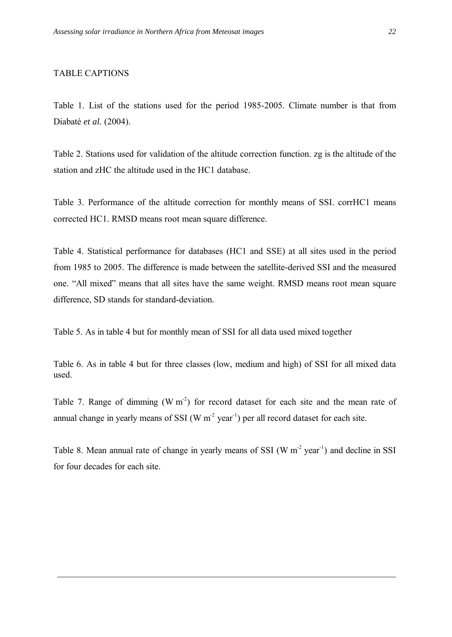#### TABLE CAPTIONS

Table 1. List of the stations used for the period 1985-2005. Climate number is that from Diabatâ *et al.* (2004).

Table 2. Stations used for validation of the altitude correction function. zg is the altitude of the station and zHC the altitude used in the HC1 database.

Table 3. Performance of the altitude correction for monthly means of SSI. corrHC1 means corrected HC1. RMSD means root mean square difference.

Table 4. Statistical performance for databases (HC1 and SSE) at all sites used in the period from 1985 to 2005. The difference is made between the satellite-derived SSI and the measured one. "All mixed" means that all sites have the same weight. RMSD means root mean square difference, SD stands for standard-deviation.

Table 5. As in table 4 but for monthly mean of SSI for all data used mixed together

Table 6. As in table 4 but for three classes (low, medium and high) of SSI for all mixed data used.

Table 7. Range of dimming  $(W m<sup>2</sup>)$  for record dataset for each site and the mean rate of annual change in yearly means of SSI (W  $m<sup>-2</sup>$  year<sup>-1</sup>) per all record dataset for each site.

Table 8. Mean annual rate of change in yearly means of SSI  $(W m<sup>-2</sup> year<sup>-1</sup>)$  and decline in SSI for four decades for each site.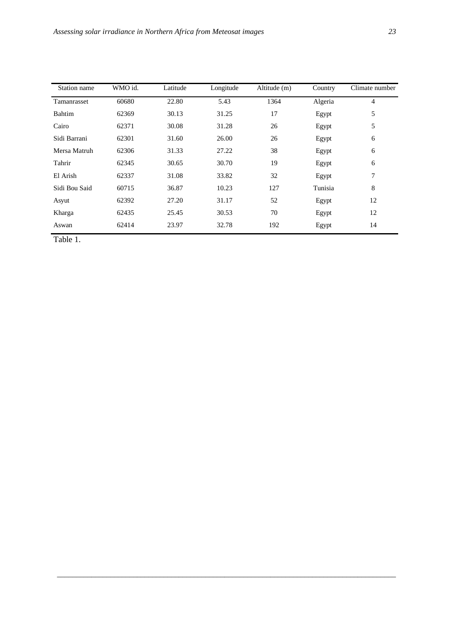| Station name  | WMO id. | Latitude | Longitude | Altitude (m) | Country | Climate number |
|---------------|---------|----------|-----------|--------------|---------|----------------|
| Tamanrasset   | 60680   | 22.80    | 5.43      | 1364         | Algeria | 4              |
| Bahtim        | 62369   | 30.13    | 31.25     | 17           | Egypt   | 5              |
| Cairo         | 62371   | 30.08    | 31.28     | 26           | Egypt   | 5              |
| Sidi Barrani  | 62301   | 31.60    | 26.00     | 26           | Egypt   | 6              |
| Mersa Matruh  | 62306   | 31.33    | 27.22     | 38           | Egypt   | 6              |
| Tahrir        | 62345   | 30.65    | 30.70     | 19           | Egypt   | 6              |
| El Arish      | 62337   | 31.08    | 33.82     | 32           | Egypt   | 7              |
| Sidi Bou Said | 60715   | 36.87    | 10.23     | 127          | Tunisia | 8              |
| Asyut         | 62392   | 27.20    | 31.17     | 52           | Egypt   | 12             |
| Kharga        | 62435   | 25.45    | 30.53     | 70           | Egypt   | 12             |
| Aswan         | 62414   | 23.97    | 32.78     | 192          | Egypt   | 14             |

Table 1.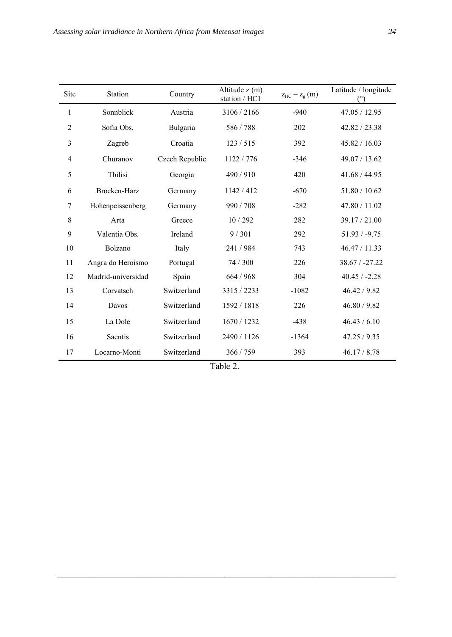| Site | <b>Station</b>     | Country        | Altitude z (m)<br>station / HC1 | $z_{\text{HC}} - z_{\text{g}}$ (m) | Latitude / longitude<br>$(^\circ)$ |
|------|--------------------|----------------|---------------------------------|------------------------------------|------------------------------------|
| 1    | Sonnblick          | Austria        | 3106 / 2166                     | $-940$                             | 47.05 / 12.95                      |
| 2    | Sofia Obs.         | Bulgaria       | 586 / 788                       | 202                                | 42.82 / 23.38                      |
| 3    | Zagreb             | Croatia        | 123/515                         | 392                                | 45.82 / 16.03                      |
| 4    | Churanov           | Czech Republic | 1122 / 776                      | $-346$                             | 49.07 / 13.62                      |
| 5    | Tbilisi            | Georgia        | 490/910                         | 420                                | 41.68 / 44.95                      |
| 6    | Brocken-Harz       | Germany        | 1142 / 412                      | $-670$                             | 51.80 / 10.62                      |
| 7    | Hohenpeissenberg   | Germany        | 990 / 708                       | $-282$                             | 47.80 / 11.02                      |
| 8    | Arta               | Greece         | 10/292                          | 282                                | 39.17 / 21.00                      |
| 9    | Valentia Obs.      | Ireland        | 9/301                           | 292                                | $51.93 / -9.75$                    |
| 10   | Bolzano            | Italy          | 241 / 984                       | 743                                | 46.47 / 11.33                      |
| 11   | Angra do Heroismo  | Portugal       | 74 / 300                        | 226                                | $38.67 / -27.22$                   |
| 12   | Madrid-universidad | Spain          | 664 / 968                       | 304                                | $40.45 / -2.28$                    |
| 13   | Corvatsch          | Switzerland    | 3315 / 2233                     | $-1082$                            | 46.42 / 9.82                       |
| 14   | Davos              | Switzerland    | 1592 / 1818                     | 226                                | 46.80 / 9.82                       |
| 15   | La Dole            | Switzerland    | 1670 / 1232                     | $-438$                             | 46.43 / 6.10                       |
| 16   | Saentis            | Switzerland    | 2490 / 1126                     | $-1364$                            | 47.25 / 9.35                       |
| 17   | Locarno-Monti      | Switzerland    | 366 / 759                       | 393                                | 46.17 / 8.78                       |

| Table |  |
|-------|--|
|-------|--|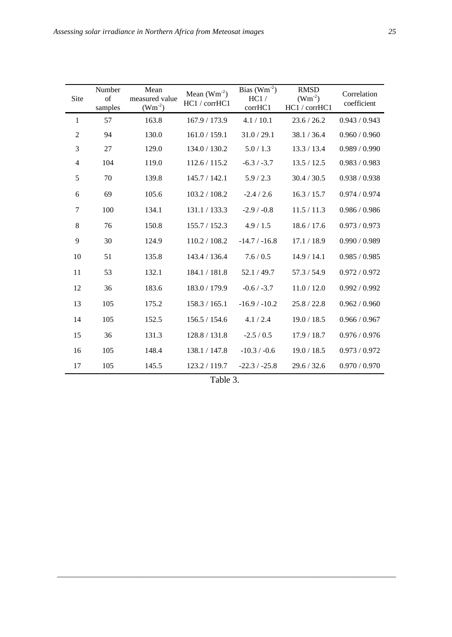| Site           | Number<br>of<br>samples | Mean<br>measured value<br>$(Wm^{-2})$ | Mean $(Wm^{-2})$<br>HC1 / corrHC1 | Bias $(Wm^{-2})$<br>HC1/<br>corrHC1 | <b>RMSD</b><br>$(Wm^{-2})$<br>HC1 / corrHC1 | Correlation<br>coefficient |
|----------------|-------------------------|---------------------------------------|-----------------------------------|-------------------------------------|---------------------------------------------|----------------------------|
| $\mathbf{1}$   | 57                      | 163.8                                 | 167.9 / 173.9                     | 4.1 / 10.1                          | 23.6 / 26.2                                 | 0.943 / 0.943              |
| $\mathfrak{2}$ | 94                      | 130.0                                 | 161.0 / 159.1                     | 31.0 / 29.1                         | 38.1 / 36.4                                 | 0.960 / 0.960              |
| $\mathfrak{Z}$ | 27                      | 129.0                                 | 134.0 / 130.2                     | 5.0 / 1.3                           | 13.3 / 13.4                                 | 0.989 / 0.990              |
| $\overline{4}$ | 104                     | 119.0                                 | 112.6 / 115.2                     | $-6.3 / -3.7$                       | 13.5 / 12.5                                 | 0.983 / 0.983              |
| 5              | 70                      | 139.8                                 | 145.7 / 142.1                     | 5.9 / 2.3                           | 30.4 / 30.5                                 | 0.938 / 0.938              |
| 6              | 69                      | 105.6                                 | 103.2 / 108.2                     | $-2.4 / 2.6$                        | 16.3 / 15.7                                 | 0.974 / 0.974              |
| $\tau$         | 100                     | 134.1                                 | 131.1 / 133.3                     | $-2.9/ -0.8$                        | 11.5 / 11.3                                 | 0.986 / 0.986              |
| $\,8\,$        | 76                      | 150.8                                 | 155.7 / 152.3                     | 4.9 / 1.5                           | 18.6 / 17.6                                 | 0.973 / 0.973              |
| 9              | 30                      | 124.9                                 | 110.2 / 108.2                     | $-14.7 / -16.8$                     | 17.1 / 18.9                                 | 0.990 / 0.989              |
| 10             | 51                      | 135.8                                 | 143.4 / 136.4                     | 7.6 / 0.5                           | 14.9 / 14.1                                 | 0.985 / 0.985              |
| 11             | 53                      | 132.1                                 | 184.1 / 181.8                     | 52.1 / 49.7                         | 57.3 / 54.9                                 | 0.972 / 0.972              |
| 12             | 36                      | 183.6                                 | 183.0 / 179.9                     | $-0.6 / -3.7$                       | 11.0 / 12.0                                 | 0.992 / 0.992              |
| 13             | 105                     | 175.2                                 | 158.3 / 165.1                     | $-16.9/ -10.2$                      | 25.8 / 22.8                                 | 0.962 / 0.960              |
| 14             | 105                     | 152.5                                 | 156.5 / 154.6                     | 4.1 / 2.4                           | 19.0 / 18.5                                 | 0.966 / 0.967              |
| 15             | 36                      | 131.3                                 | 128.8 / 131.8                     | $-2.5 / 0.5$                        | 17.9 / 18.7                                 | 0.976 / 0.976              |
| 16             | 105                     | 148.4                                 | 138.1 / 147.8                     | $-10.3 / -0.6$                      | 19.0 / 18.5                                 | 0.973 / 0.972              |
| 17             | 105                     | 145.5                                 | 123.2 / 119.7                     | $-22.3 / -25.8$                     | 29.6 / 32.6                                 | 0.970 / 0.970              |

| Table 3 |  |
|---------|--|
|         |  |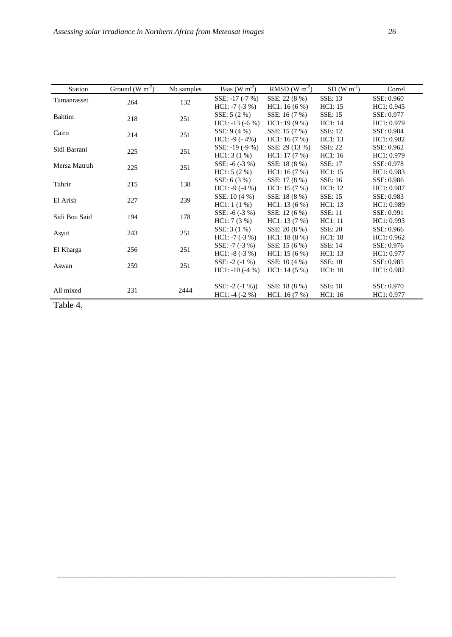| Ground $(W m-2)$ | Nb samples                                                                       | $Bias(W m-2)$                                                                     | RMSD (W $m-2$ ) | $SD(W m-2)$    | Correl                                                                                                                                                                             |
|------------------|----------------------------------------------------------------------------------|-----------------------------------------------------------------------------------|-----------------|----------------|------------------------------------------------------------------------------------------------------------------------------------------------------------------------------------|
|                  |                                                                                  | SSE: $-17$ $(-7%)$                                                                | SSE: 22 (8 %)   | <b>SSE: 13</b> | SSE: 0.960                                                                                                                                                                         |
|                  |                                                                                  | $HC1: -7(-3%)$                                                                    | HC1: 16(6%)     | HC1:15         | HC1: 0.945                                                                                                                                                                         |
|                  |                                                                                  | SSE: $5(2%)$                                                                      | SSE: 16 (7 %)   | SSE: 15        | SSE: 0.977                                                                                                                                                                         |
|                  |                                                                                  | $HC1: -13(-6%)$                                                                   | $HC1: 19(9\%)$  | HC1: 14        | HC1: 0.979                                                                                                                                                                         |
|                  |                                                                                  | SSE: $9(4\%)$                                                                     | SSE: 15 (7 %)   | <b>SSE: 12</b> | SSE: 0.984                                                                                                                                                                         |
|                  |                                                                                  | $HC1: -9(-4%)$                                                                    | HC1: 16(7%)     | HC1: 13        | HC1: 0.982                                                                                                                                                                         |
|                  |                                                                                  | SSE: $-19(-9%)$                                                                   | SSE: 29 (13 %)  | <b>SSE: 22</b> | SSE: 0.962                                                                                                                                                                         |
|                  |                                                                                  | HC1: 3(1%)                                                                        | HC1: 17(7%)     | HC1: 16        | HC1: 0.979                                                                                                                                                                         |
|                  |                                                                                  | SSE: $-6$ $(-3%)$                                                                 | SSE: 18 (8 %)   | <b>SSE: 17</b> | SSE: 0.978                                                                                                                                                                         |
|                  |                                                                                  | HC1: 5(2%)                                                                        | HC1: 16(7%)     | HC1: 15        | HC1: 0.983                                                                                                                                                                         |
|                  |                                                                                  | SSE: $6(3%)$                                                                      | SSE: 17 (8 %)   | SSE: 16        | SSE: 0.986                                                                                                                                                                         |
|                  |                                                                                  | $HC1: -9(-4%)$                                                                    | HC1: 15(7%)     | HC1: 12        | HC1: 0.987<br>SSE: 0.983<br>HC1: 0.989<br>SSE: 0.991<br>HC1: 0.993<br>SSE: 0.966<br>HC1: 0.962<br>SSE: 0.976<br>HC1: 0.977<br>SSE: 0.985<br>HC1: 0.982<br>SSE: 0.970<br>HC1: 0.977 |
|                  |                                                                                  | SSE: 10 (4 %)                                                                     | SSE: 18 (8 %)   | SSE: 15        |                                                                                                                                                                                    |
|                  |                                                                                  | HC1:1(1%)                                                                         | HC1: 13(6%)     | HC1: 13        |                                                                                                                                                                                    |
|                  |                                                                                  | SSE: $-6$ $(-3%)$                                                                 | SSE: 12 (6 %)   | <b>SSE: 11</b> |                                                                                                                                                                                    |
|                  |                                                                                  | HC1:7(3%)                                                                         | HC1: 13(7%)     | HC1:11         |                                                                                                                                                                                    |
|                  |                                                                                  | SSE: $3(1\%)$                                                                     | SSE: 20 (8 %)   | <b>SSE: 20</b> |                                                                                                                                                                                    |
|                  |                                                                                  | $HC1: -7(-3%)$                                                                    | HC1: 18(8%)     | HC1: 18        |                                                                                                                                                                                    |
|                  |                                                                                  | SSE: $-7$ ( $-3$ %)                                                               | SSE: 15 (6 %)   | SSE: 14        |                                                                                                                                                                                    |
|                  |                                                                                  | HC1: $-8$ ( $-3$ %)                                                               | HC1: 15(6%)     | HC1: 13        |                                                                                                                                                                                    |
|                  |                                                                                  | SSE: $-2$ $(-1\% )$                                                               | SSE: 10 (4 %)   | <b>SSE: 10</b> |                                                                                                                                                                                    |
|                  |                                                                                  | $HC1: -10(-4%)$                                                                   | HC1: 14(5%)     | HC1:10         |                                                                                                                                                                                    |
|                  |                                                                                  |                                                                                   |                 |                |                                                                                                                                                                                    |
|                  |                                                                                  | SSE: $-2$ $(-1\%)$                                                                | SSE: 18 (8 %)   | <b>SSE: 18</b> |                                                                                                                                                                                    |
|                  |                                                                                  | $HC1: -4(-2%)$                                                                    | HC1: 16(7%)     | HC1: 16        |                                                                                                                                                                                    |
|                  | 264<br>218<br>214<br>225<br>225<br>215<br>227<br>194<br>243<br>256<br>259<br>231 | 132<br>251<br>251<br>251<br>251<br>138<br>239<br>178<br>251<br>251<br>251<br>2444 |                 |                |                                                                                                                                                                                    |

Table 4.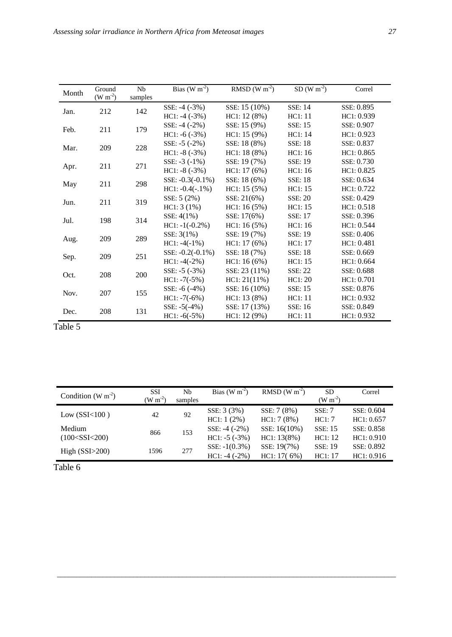| Month | Ground<br>$(W m-2)$ | <b>Nb</b><br>samples | Bias (W $m^2$ )     | RMSD (W $\overline{m^2}$ ) | SD (W $\overline{m^{-2}}$ ) | Correl     |
|-------|---------------------|----------------------|---------------------|----------------------------|-----------------------------|------------|
|       |                     |                      | SSE: $-4$ $(-3%)$   | SSE: 15 (10%)              | <b>SSE: 14</b>              | SSE: 0.895 |
| Jan.  | 212                 | 142                  | $HC1: -4(-3%)$      | HC1: 12 (8%)               | HC1:11                      | HC1: 0.939 |
|       |                     |                      |                     |                            | <b>SSE: 15</b>              | SSE: 0.907 |
| Feb.  | 211                 | 179                  | SSE: $-4$ $(-2%)$   | SSE: 15 (9%)               |                             |            |
|       |                     |                      | $HC1: -6(-3%)$      | HC1: 15 (9%)               | HC1:14                      | HC1: 0.923 |
| Mar.  | 209                 | 228                  | SSE: $-5$ $(-2%)$   | SSE: 18 (8%)               | <b>SSE: 18</b>              | SSE: 0.837 |
|       |                     |                      | $HC1: -8(-3%)$      | HC1: 18(8%)                | HC1:16                      | HC1: 0.865 |
| Apr.  | 211                 | 271                  | SSE: $-3$ $(-1\%)$  | SSE: 19 (7%)               | SSE: 19                     | SSE: 0.730 |
|       |                     |                      | $HC1: -8(-3%)$      | HC1: 17(6%)                | HC1:16                      | HC1: 0.825 |
| May   | 211                 | 298                  | SSE: $-0.3(-0.1\%)$ | SSE: 18 (6%)               | <b>SSE: 18</b>              | SSE: 0.634 |
|       |                     |                      | $HC1: -0.4(-.1\%)$  | HC1: 15(5%)                | HC1:15                      | HC1: 0.722 |
|       |                     | 319                  | SSE: 5 (2%)         | SSE: 21(6%)                | <b>SSE: 20</b>              | SSE: 0.429 |
| Jun.  | 211                 |                      | HC1: 3(1%)          | HC1: 16(5%)                | HC1:15                      | HC1: 0.518 |
|       |                     |                      | SSE: 4(1%)          | SSE: 17(6%)                | <b>SSE: 17</b>              | SSE: 0.396 |
| Jul.  | 198                 | 314                  | $HC1: -1(-0.2%)$    | HC1: 16(5%)                | HC1:16                      | HC1: 0.544 |
|       |                     |                      | SSE: 3(1%)          | SSE: 19 (7%)               | SSE: 19                     | SSE: 0.406 |
| Aug.  | 209                 | 289                  | $HC1: -4(-1%)$      | HC1: 17(6%)                | HC1: 17                     | HC1: 0.481 |
|       |                     |                      | SSE: $-0.2(-0.1\%)$ | SSE: 18 (7%)               | <b>SSE: 18</b>              | SSE: 0.669 |
| Sep.  | 209                 | 251                  | $HC1: -4(-2%)$      | HC1: 16(6%)                | HC1:15                      | HC1: 0.664 |
|       |                     |                      | SSE: $-5$ $(-3%)$   | SSE: 23 (11%)              | <b>SSE: 22</b>              | SSE: 0.688 |
| Oct.  | 208                 | 200                  | $HC1: -7(-5%)$      | HC1: 21(11%)               | HC1: 20                     | HC1: 0.701 |
|       |                     |                      | SSE: $-6$ $(-4%)$   | SSE: 16 (10%)              | SSE: 15                     | SSE: 0.876 |
| Nov.  | 207                 | 155                  | $HC1: -7(-6%)$      | HC1: 13(8%)                | HC1:11                      | HC1: 0.932 |
|       |                     |                      | SSE: $-5(-4%)$      | SSE: 17 (13%)              | SSE: 16                     | SSE: 0.849 |
| Dec.  | 208                 | 131                  | $HC1: -6(-5%)$      | HC1: 12 (9%)               | HC1: 11                     | HC1: 0.932 |
| .     |                     |                      |                     |                            |                             |            |

Table 5

| Condition (W $m^2$ ) | <b>SSI</b><br>$(W m-2)$ | Nb<br>samples | Bias (W $m^{-2}$ ) | RMSD (W $m^{-2}$ ) | <b>SD</b><br>$(W m-2)$ | Correl     |
|----------------------|-------------------------|---------------|--------------------|--------------------|------------------------|------------|
|                      |                         |               | SSE: 3 (3%)        | SSE: 7 (8%)        | SSE: 7                 | SSE: 0.604 |
| Low $(SSI<100)$      | 42                      | 92            | HC1: 1 (2%)        | HC1:7(8%)          | HC1:7                  | HC1: 0.657 |
| Medium               |                         |               | SSE: $-4$ $(-2%)$  | SSE: 16(10%)       | <b>SSE: 15</b>         | SSE: 0.858 |
| (100 < SSI < 200)    | 866                     | 153           | $HC1: -5(-3%)$     | HC1: 13(8%)        | HC1:12                 | HC1: 0.910 |
| High $(SSI>200)$     | 1596                    | 277           | SSE: $-1(0.3\%)$   | SSE: 19(7%)        | <b>SSE: 19</b>         | SSE: 0.892 |
|                      |                         |               | $HC1: -4(-2%)$     | HC1: 17(6%)        | HC1:17                 | HC1: 0.916 |

*\_\_\_\_\_\_\_\_\_\_\_\_\_\_\_\_\_\_\_\_\_\_\_\_\_\_\_\_\_\_\_\_\_\_\_\_\_\_\_\_\_\_\_\_\_\_\_\_\_\_\_\_\_\_\_\_\_\_\_\_\_\_\_\_\_\_\_\_\_\_\_\_\_\_\_\_\_\_\_\_\_\_\_\_\_\_\_\_\_*

Table 6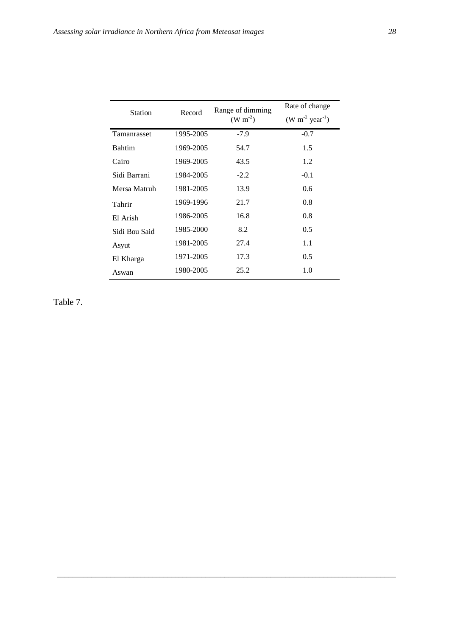| <b>Station</b> | Record    | Range of dimming<br>$(W m^{-2})$ | Rate of change<br>$(W m^{-2} year^{-1})$ |
|----------------|-----------|----------------------------------|------------------------------------------|
| Tamanrasset    | 1995-2005 | $-7.9$                           | $-0.7$                                   |
| <b>Bahtim</b>  | 1969-2005 | 54.7                             | 1.5                                      |
| Cairo          | 1969-2005 | 43.5                             | 1.2                                      |
| Sidi Barrani   | 1984-2005 | $-2.2$                           | $-0.1$                                   |
| Mersa Matruh   | 1981-2005 | 13.9                             | $0.6^{\circ}$                            |
| Tahrir         | 1969-1996 | 21.7                             | 0.8                                      |
| El Arish       | 1986-2005 | 16.8                             | 0.8                                      |
| Sidi Bou Said  | 1985-2000 | 8.2                              | 0.5                                      |
| Asyut          | 1981-2005 | 27.4                             | 1.1                                      |
| El Kharga      | 1971-2005 | 17.3                             | 0.5                                      |
| Aswan          | 1980-2005 | 25.2                             | 1.0                                      |

Table 7.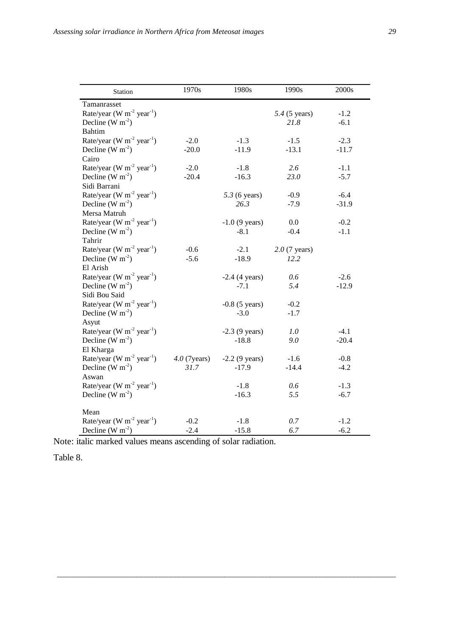| I |                         |
|---|-------------------------|
|   | ۰.<br>٦<br>I<br>۰,<br>v |

| Station                                           | 1970s           | 1980s            | 1990s           | 2000s   |
|---------------------------------------------------|-----------------|------------------|-----------------|---------|
| Tamanrasset                                       |                 |                  |                 |         |
| Rate/year (W $m^{-2}$ year <sup>-1</sup> )        |                 |                  | 5.4 (5 years)   | $-1.2$  |
| Decline (W $m^{-2}$ )                             |                 |                  | 21.8            | $-6.1$  |
| <b>Bahtim</b>                                     |                 |                  |                 |         |
| Rate/year (W $m^{-2}$ year <sup>-1</sup> )        | $-2.0$          | $-1.3$           | $-1.5$          | $-2.3$  |
| Decline (W $m^{-2}$ )                             | $-20.0$         | $-11.9$          | $-13.1$         | $-11.7$ |
| Cairo                                             |                 |                  |                 |         |
| Rate/year (W $m^{-2}$ year <sup>-1</sup> )        | $-2.0$          | $-1.8$           | 2.6             | $-1.1$  |
| Decline (W $m^{-2}$ )                             | $-20.4$         | $-16.3$          | 23.0            | $-5.7$  |
| Sidi Barrani                                      |                 |                  |                 |         |
| Rate/year (W $m^{-2}$ year <sup>-1</sup> )        |                 | $5.3$ (6 years)  | $-0.9$          | $-6.4$  |
| Decline (W $m^{-2}$ )                             |                 | 26.3             | $-7.9$          | $-31.9$ |
| Mersa Matruh                                      |                 |                  |                 |         |
| Rate/year (W $m^{-2}$ year <sup>-1</sup> )        |                 | $-1.0$ (9 years) | 0.0             | $-0.2$  |
| Decline (W $m^{-2}$ )                             |                 | $-8.1$           | $-0.4$          | $-1.1$  |
| Tahrir                                            |                 |                  |                 |         |
| Rate/year (W $m-2$ year <sup>-1</sup> )           | $-0.6$          | $-2.1$           | $2.0$ (7 years) |         |
| Decline (W $m^{-2}$ )                             | $-5.6$          | $-18.9$          | 12.2            |         |
| El Arish                                          |                 |                  |                 |         |
| Rate/year (W $m^{-2}$ year <sup>-1</sup> )        |                 | $-2.4$ (4 years) | 0.6             | $-2.6$  |
| Decline (W $m^{-2}$ )                             |                 | $-7.1$           | 5.4             | $-12.9$ |
| Sidi Bou Said                                     |                 |                  |                 |         |
| Rate/year (W $m^{-2}$ year <sup>-1</sup> )        |                 | $-0.8$ (5 years) | $-0.2$          |         |
| Decline (W $m^{-2}$ )                             |                 | $-3.0$           | $-1.7$          |         |
| Asyut                                             |                 |                  |                 |         |
| Rate/year (W $m-2$ year <sup>-1</sup> )           |                 | $-2.3$ (9 years) | 1.0             | $-4.1$  |
| Decline (W $m^{-2}$ )                             |                 | $-18.8$          | 9.0             | $-20.4$ |
| El Kharga                                         |                 |                  |                 |         |
| Rate/year (W $m^{-2}$ year <sup>-1</sup> )        | $4.0$ (7 years) | $-2.2$ (9 years) | $-1.6$          | $-0.8$  |
| Decline (W $m^{-2}$ )                             | 31.7            | $-17.9$          | $-14.4$         | $-4.2$  |
| Aswan                                             |                 |                  |                 |         |
| Rate/year (W m <sup>-2</sup> year <sup>-1</sup> ) |                 | $-1.8$           | 0.6             | $-1.3$  |
| Decline (W $m^{-2}$ )                             |                 | $-16.3$          | 5.5             | $-6.7$  |
| Mean                                              |                 |                  |                 |         |
| Rate/year (W $m^{-2}$ year <sup>-1</sup> )        | $-0.2$          | $-1.8$           | 0.7             | $-1.2$  |
| Decline (W $m^{-2}$ )                             | $-2.4$          | $-15.8$          | 6.7             | $-6.2$  |

Note: italic marked values means ascending of solar radiation.

Table 8.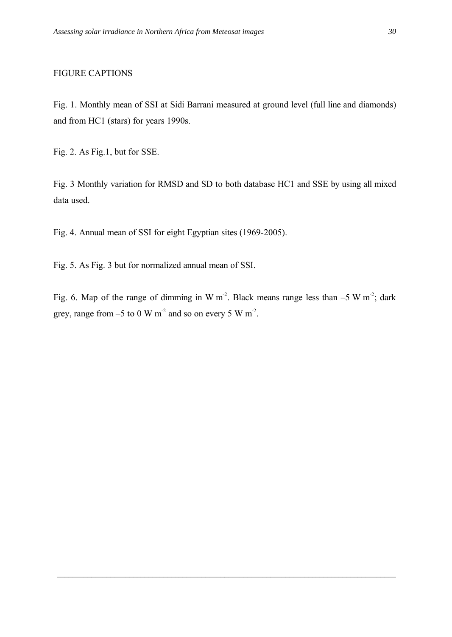### FIGURE CAPTIONS

Fig. 1. Monthly mean of SSI at Sidi Barrani measured at ground level (full line and diamonds) and from HC1 (stars) for years 1990s.

Fig. 2. As Fig.1, but for SSE.

Fig. 3 Monthly variation for RMSD and SD to both database HC1 and SSE by using all mixed data used.

Fig. 4. Annual mean of SSI for eight Egyptian sites (1969-2005).

Fig. 5. As Fig. 3 but for normalized annual mean of SSI.

Fig. 6. Map of the range of dimming in W m<sup>-2</sup>. Black means range less than  $-5 \text{ W m}^2$ ; dark grey, range from  $-5$  to 0 W m<sup>-2</sup> and so on every 5 W m<sup>-2</sup>.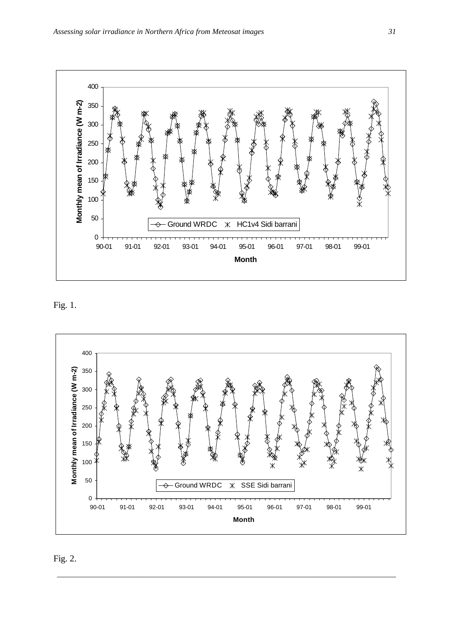

Fig. 1.



Fig. 2.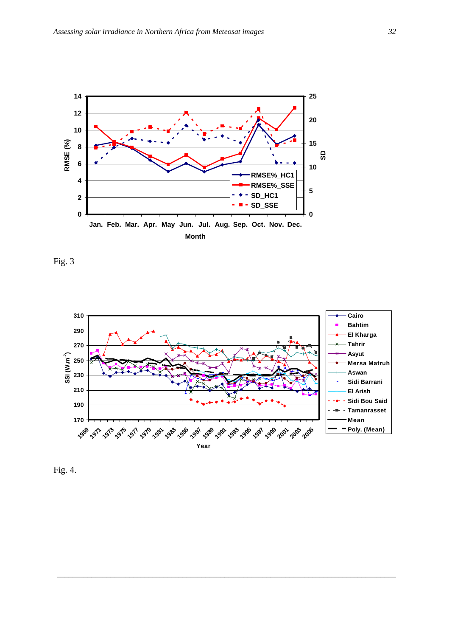





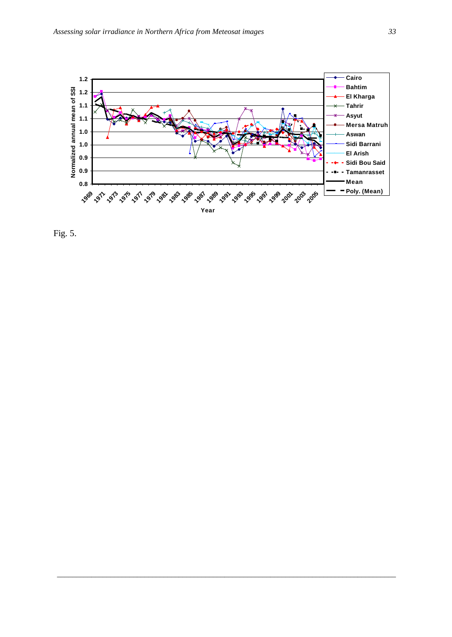

Fig. 5.